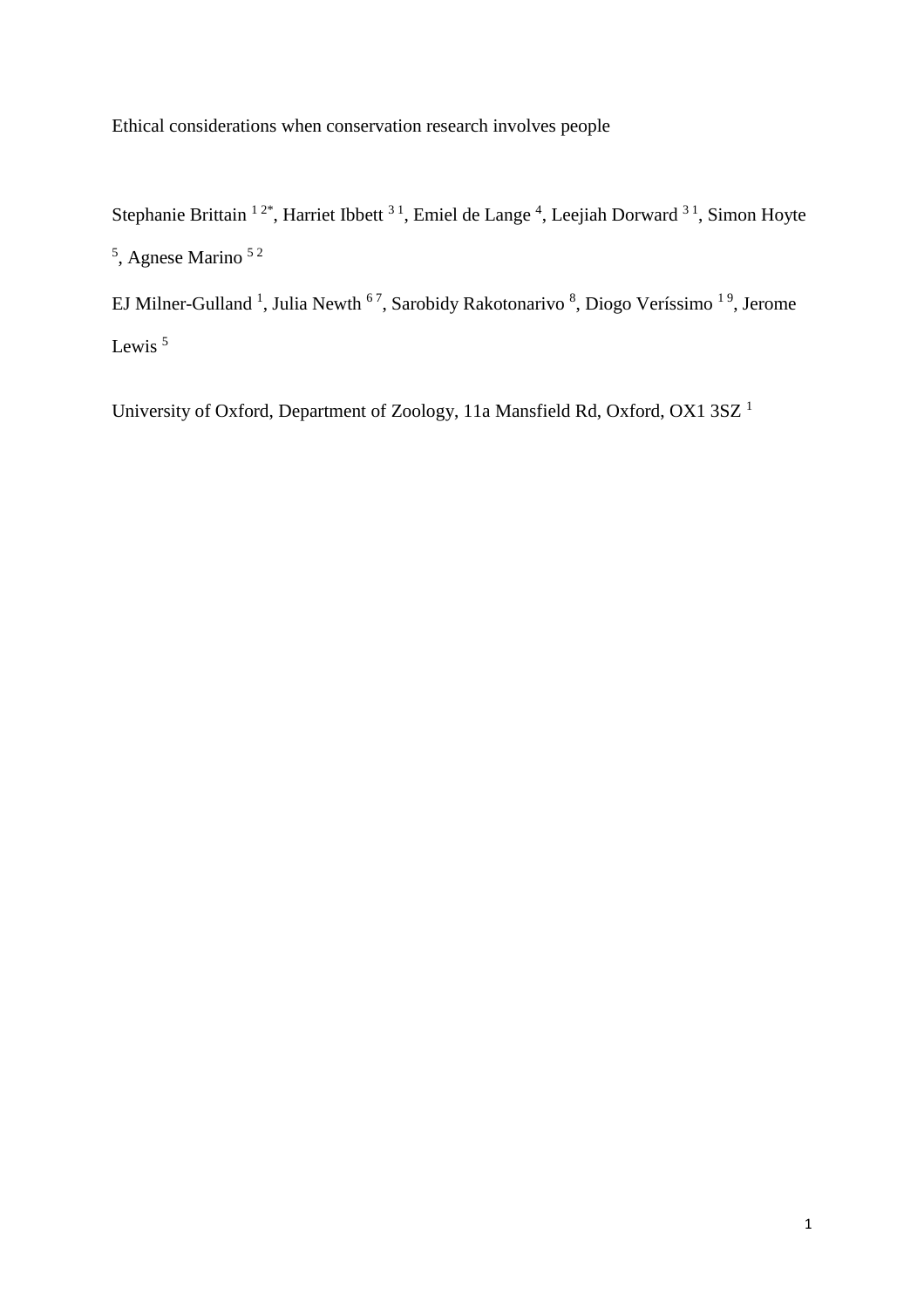Ethical considerations when conservation research involves people

Stephanie Brittain <sup>12\*</sup>, Harriet Ibbett <sup>31</sup>, Emiel de Lange <sup>4</sup>, Leejiah Dorward <sup>31</sup>, Simon Hoyte <sup>5</sup>, Agnese Marino <sup>52</sup>

EJ Milner-Gulland<sup>1</sup>, Julia Newth<sup>67</sup>, Sarobidy Rakotonarivo<sup>8</sup>, Diogo Veríssimo<sup>19</sup>, Jerome Lewis<sup>5</sup>

University of Oxford, Department of Zoology, 11a Mansfield Rd, Oxford, OX1 3SZ <sup>1</sup>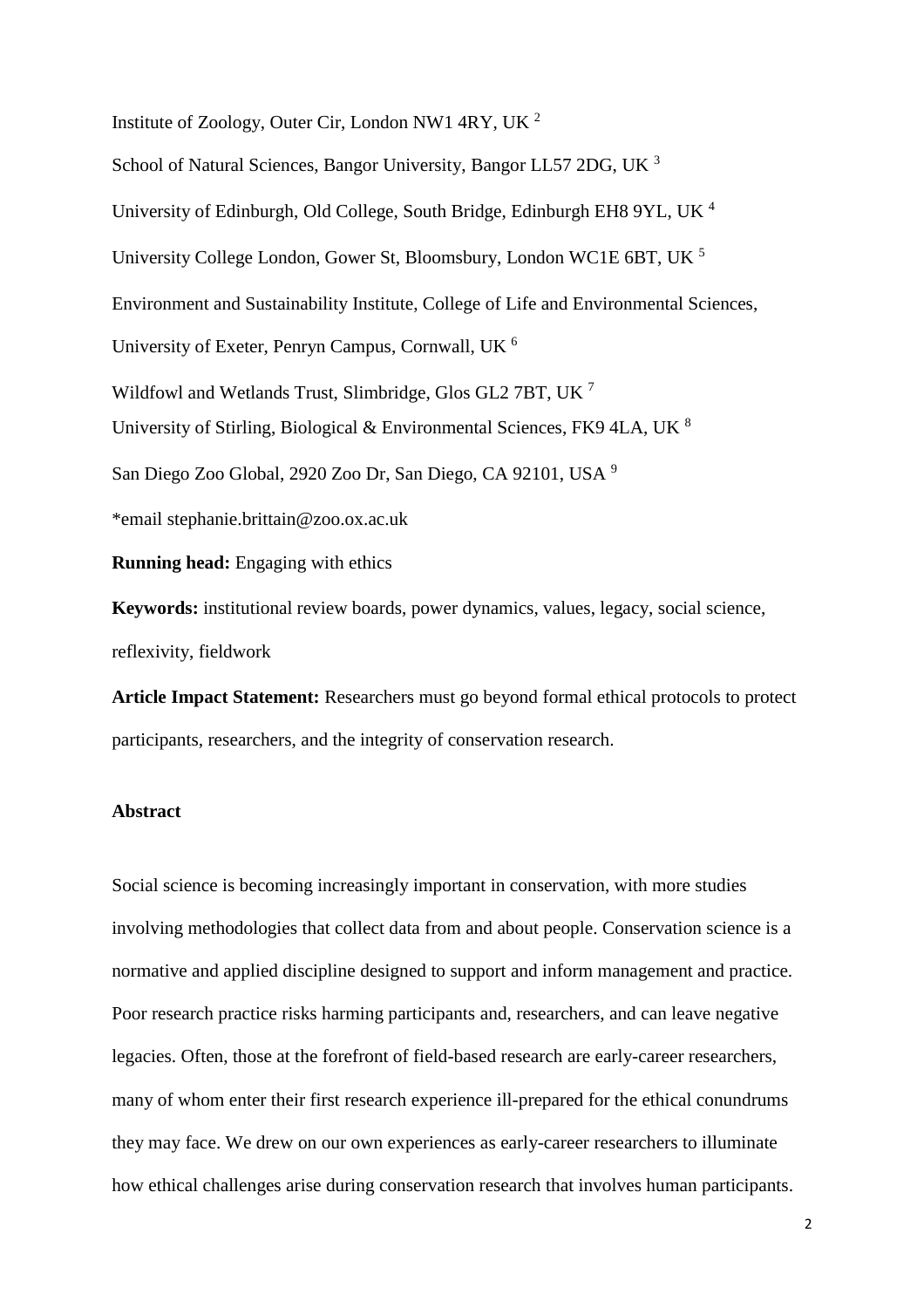Institute of Zoology, Outer Cir, London NW1 4RY, UK  $^2$ School of Natural Sciences, Bangor University, Bangor LL57 2DG, UK <sup>3</sup> University of Edinburgh, Old College, South Bridge, Edinburgh EH8 9YL, UK <sup>4</sup> University College London, Gower St, Bloomsbury, London WC1E 6BT, UK <sup>5</sup> Environment and Sustainability Institute, College of Life and Environmental Sciences, University of Exeter, Penryn Campus, Cornwall, UK <sup>6</sup> Wildfowl and Wetlands Trust, Slimbridge, Glos GL2 7BT, UK <sup>7</sup> University of Stirling, Biological & Environmental Sciences, FK9 4LA, UK <sup>8</sup> San Diego Zoo Global, 2920 Zoo Dr, San Diego, CA 92101, USA <sup>9</sup> \*email stephanie.brittain@zoo.ox.ac.uk **Running head:** Engaging with ethics **Keywords:** institutional review boards, power dynamics, values, legacy, social science,

reflexivity, fieldwork

**Article Impact Statement:** Researchers must go beyond formal ethical protocols to protect participants, researchers, and the integrity of conservation research.

# **Abstract**

Social science is becoming increasingly important in conservation, with more studies involving methodologies that collect data from and about people. Conservation science is a normative and applied discipline designed to support and inform management and practice. Poor research practice risks harming participants and, researchers, and can leave negative legacies. Often, those at the forefront of field-based research are early-career researchers, many of whom enter their first research experience ill-prepared for the ethical conundrums they may face. We drew on our own experiences as early-career researchers to illuminate how ethical challenges arise during conservation research that involves human participants.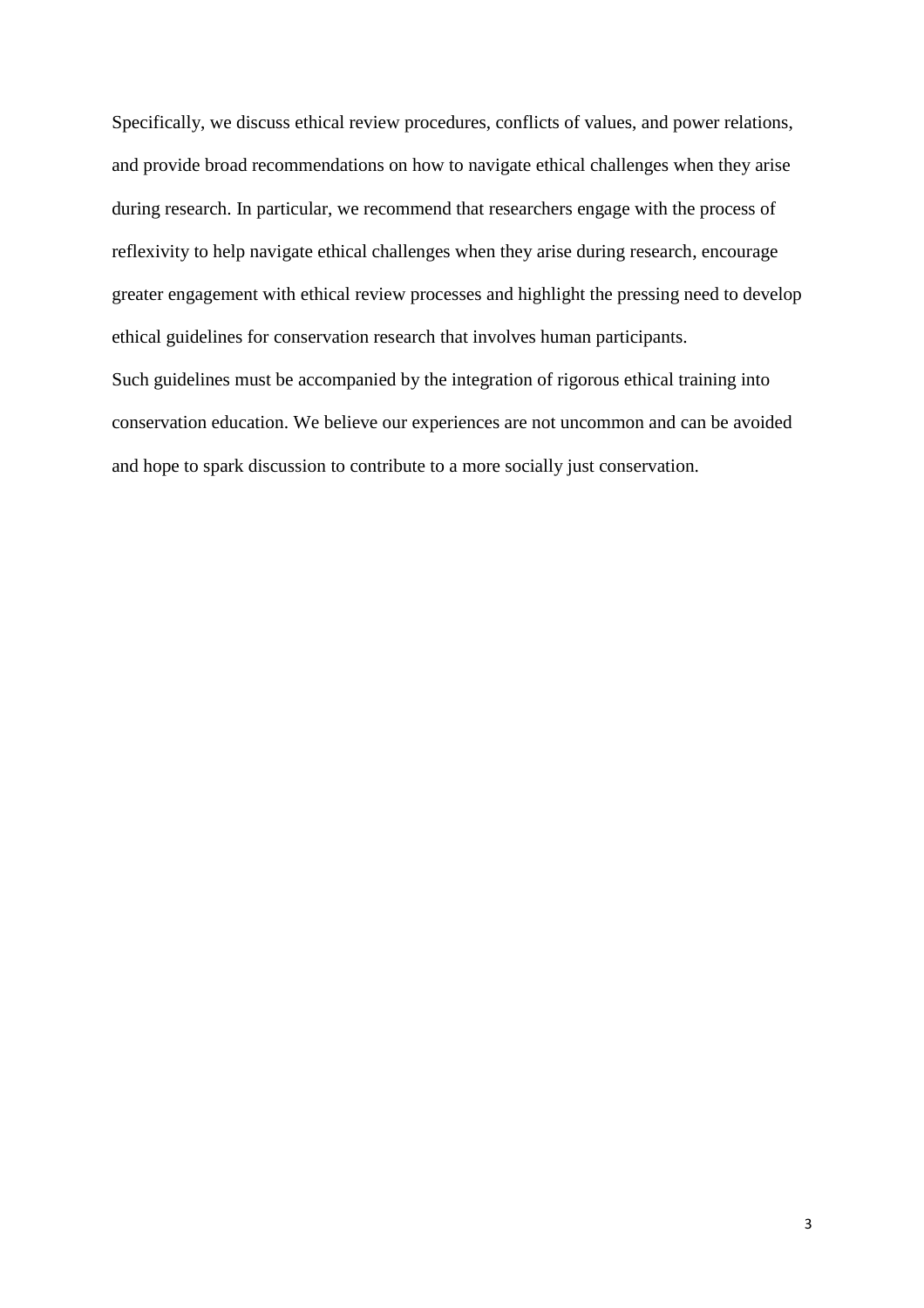Specifically, we discuss ethical review procedures, conflicts of values, and power relations, and provide broad recommendations on how to navigate ethical challenges when they arise during research. In particular, we recommend that researchers engage with the process of reflexivity to help navigate ethical challenges when they arise during research, encourage greater engagement with ethical review processes and highlight the pressing need to develop ethical guidelines for conservation research that involves human participants. Such guidelines must be accompanied by the integration of rigorous ethical training into conservation education. We believe our experiences are not uncommon and can be avoided and hope to spark discussion to contribute to a more socially just conservation.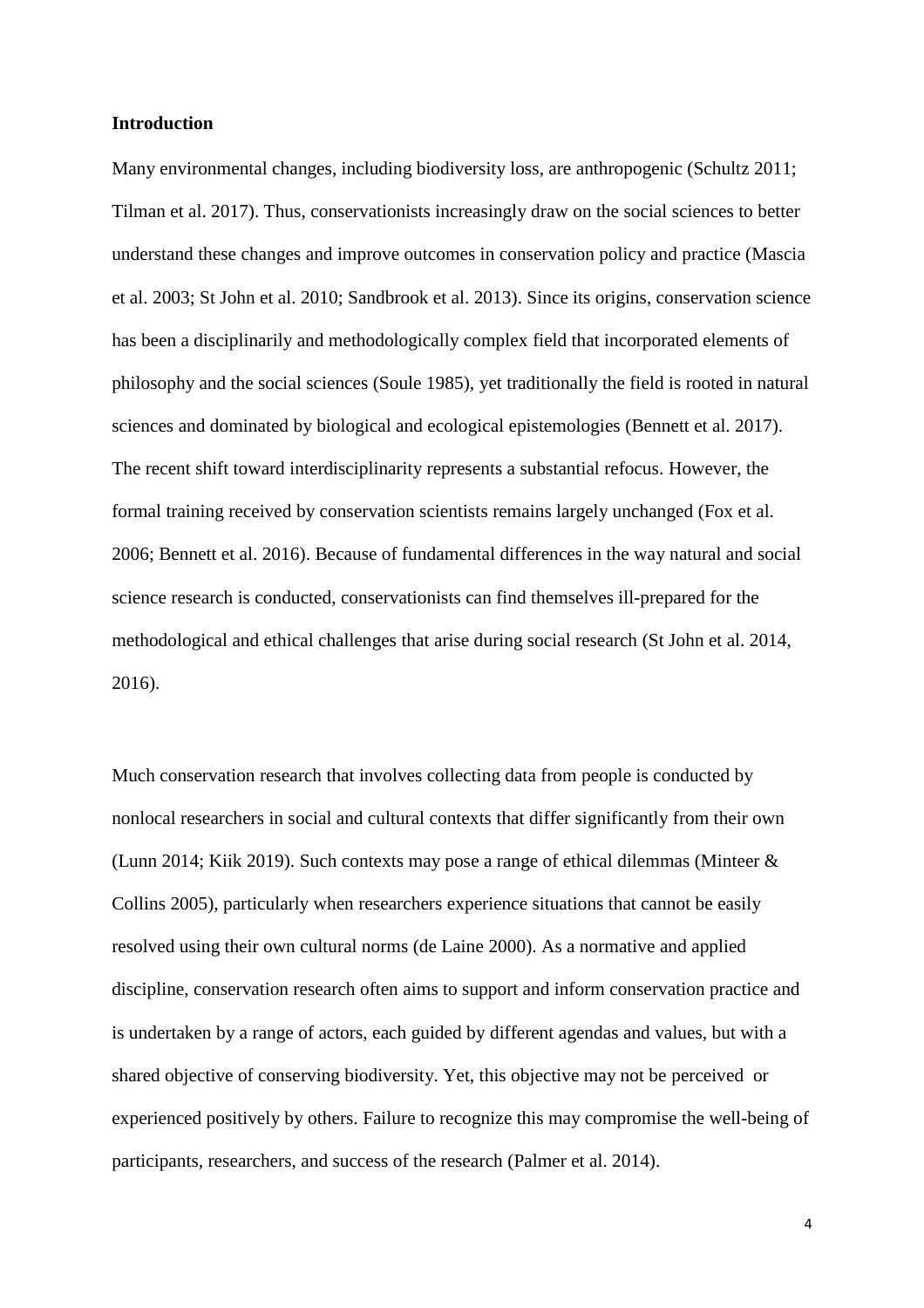#### **Introduction**

Many environmental changes, including biodiversity loss, are anthropogenic (Schultz 2011; Tilman et al. 2017). Thus, conservationists increasingly draw on the social sciences to better understand these changes and improve outcomes in conservation policy and practice (Mascia et al. 2003; St John et al. 2010; Sandbrook et al. 2013). Since its origins, conservation science has been a disciplinarily and methodologically complex field that incorporated elements of philosophy and the social sciences (Soule 1985), yet traditionally the field is rooted in natural sciences and dominated by biological and ecological epistemologies (Bennett et al. 2017). The recent shift toward interdisciplinarity represents a substantial refocus. However, the formal training received by conservation scientists remains largely unchanged (Fox et al. 2006; Bennett et al. 2016). Because of fundamental differences in the way natural and social science research is conducted, conservationists can find themselves ill-prepared for the methodological and ethical challenges that arise during social research (St John et al. 2014, 2016).

Much conservation research that involves collecting data from people is conducted by nonlocal researchers in social and cultural contexts that differ significantly from their own (Lunn 2014; Kiik 2019). Such contexts may pose a range of ethical dilemmas (Minteer & Collins 2005), particularly when researchers experience situations that cannot be easily resolved using their own cultural norms (de Laine 2000). As a normative and applied discipline, conservation research often aims to support and inform conservation practice and is undertaken by a range of actors, each guided by different agendas and values, but with a shared objective of conserving biodiversity. Yet, this objective may not be perceived or experienced positively by others. Failure to recognize this may compromise the well-being of participants, researchers, and success of the research (Palmer et al. 2014).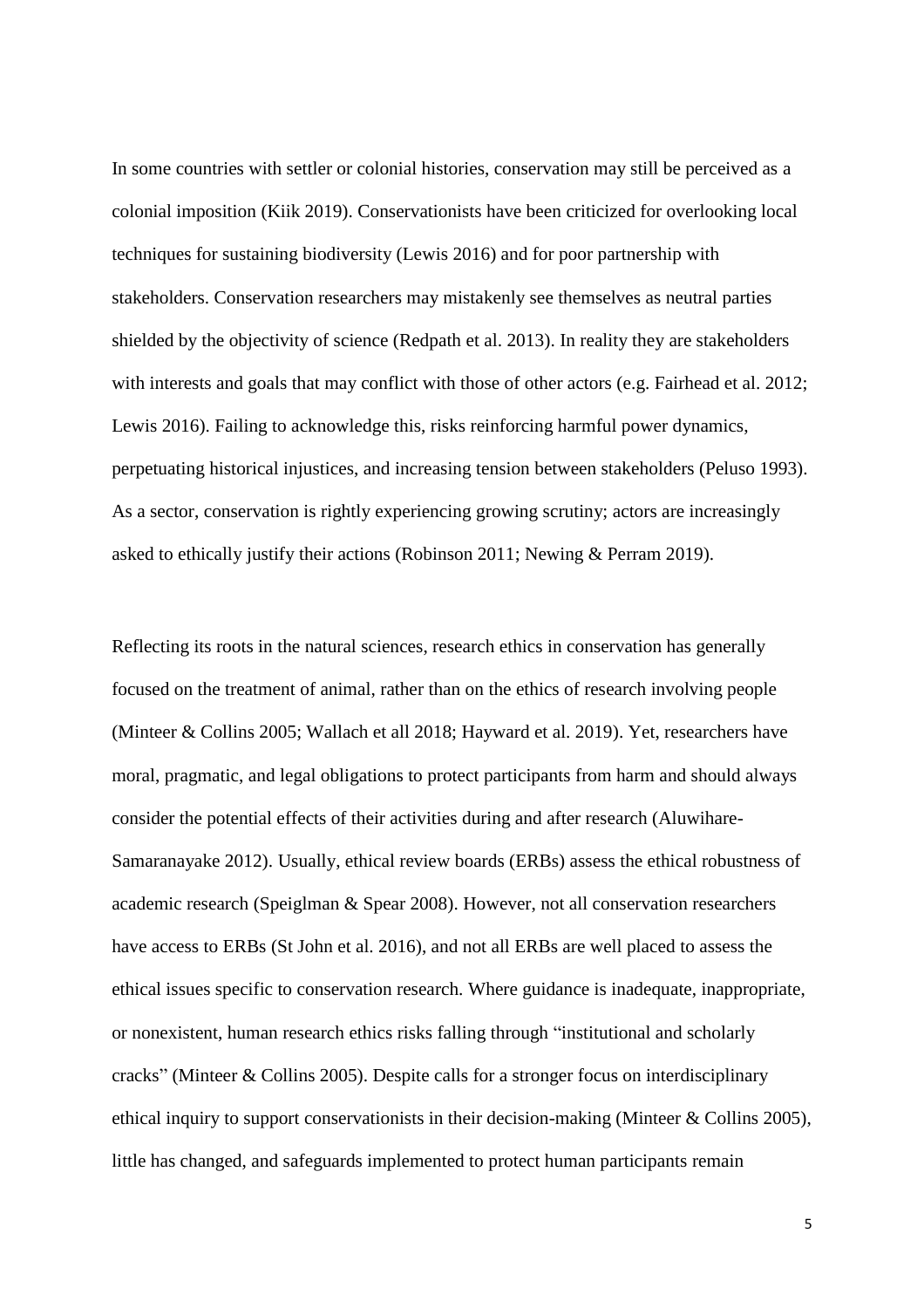In some countries with settler or colonial histories, conservation may still be perceived as a colonial imposition (Kiik 2019). Conservationists have been criticized for overlooking local techniques for sustaining biodiversity (Lewis 2016) and for poor partnership with stakeholders. Conservation researchers may mistakenly see themselves as neutral parties shielded by the objectivity of science (Redpath et al. 2013). In reality they are stakeholders with interests and goals that may conflict with those of other actors (e.g. Fairhead et al. 2012; Lewis 2016). Failing to acknowledge this, risks reinforcing harmful power dynamics, perpetuating historical injustices, and increasing tension between stakeholders (Peluso 1993). As a sector, conservation is rightly experiencing growing scrutiny; actors are increasingly asked to ethically justify their actions (Robinson 2011; Newing & Perram 2019).

Reflecting its roots in the natural sciences, research ethics in conservation has generally focused on the treatment of animal, rather than on the ethics of research involving people (Minteer & Collins 2005; Wallach et all 2018; Hayward et al. 2019). Yet, researchers have moral, pragmatic, and legal obligations to protect participants from harm and should always consider the potential effects of their activities during and after research (Aluwihare-Samaranayake 2012). Usually, ethical review boards (ERBs) assess the ethical robustness of academic research (Speiglman & Spear 2008). However, not all conservation researchers have access to ERBs (St John et al. 2016), and not all ERBs are well placed to assess the ethical issues specific to conservation research. Where guidance is inadequate, inappropriate, or nonexistent, human research ethics risks falling through "institutional and scholarly cracks" (Minteer & Collins 2005). Despite calls for a stronger focus on interdisciplinary ethical inquiry to support conservationists in their decision-making (Minteer & Collins 2005), little has changed, and safeguards implemented to protect human participants remain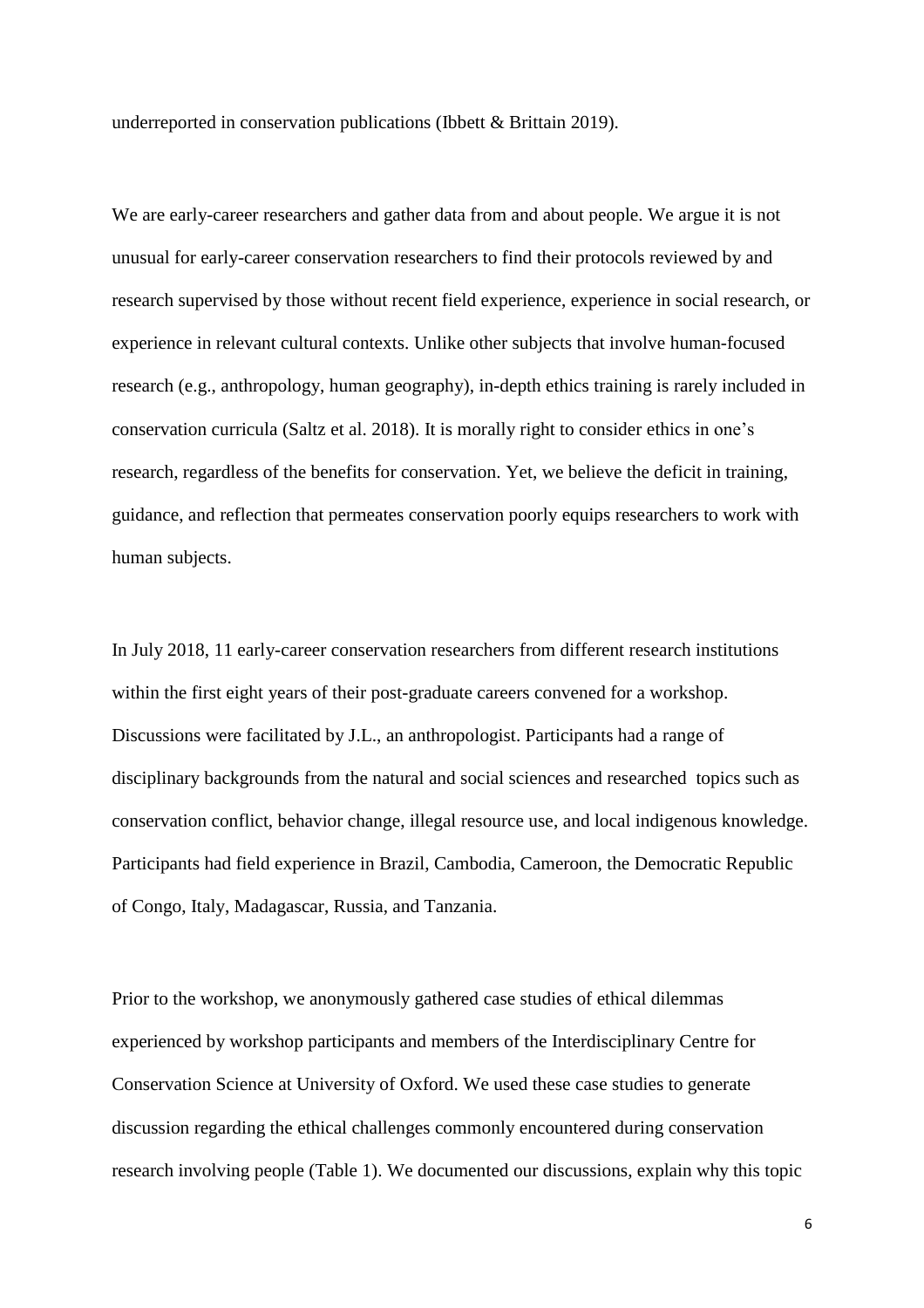underreported in conservation publications (Ibbett & Brittain 2019).

We are early-career researchers and gather data from and about people. We argue it is not unusual for early-career conservation researchers to find their protocols reviewed by and research supervised by those without recent field experience, experience in social research, or experience in relevant cultural contexts. Unlike other subjects that involve human-focused research (e.g., anthropology, human geography), in-depth ethics training is rarely included in conservation curricula (Saltz et al. 2018). It is morally right to consider ethics in one's research, regardless of the benefits for conservation. Yet, we believe the deficit in training, guidance, and reflection that permeates conservation poorly equips researchers to work with human subjects.

In July 2018, 11 early-career conservation researchers from different research institutions within the first eight years of their post-graduate careers convened for a workshop. Discussions were facilitated by J.L., an anthropologist. Participants had a range of disciplinary backgrounds from the natural and social sciences and researched topics such as conservation conflict, behavior change, illegal resource use, and local indigenous knowledge. Participants had field experience in Brazil, Cambodia, Cameroon, the Democratic Republic of Congo, Italy, Madagascar, Russia, and Tanzania.

Prior to the workshop, we anonymously gathered case studies of ethical dilemmas experienced by workshop participants and members of the Interdisciplinary Centre for Conservation Science at University of Oxford. We used these case studies to generate discussion regarding the ethical challenges commonly encountered during conservation research involving people (Table 1). We documented our discussions, explain why this topic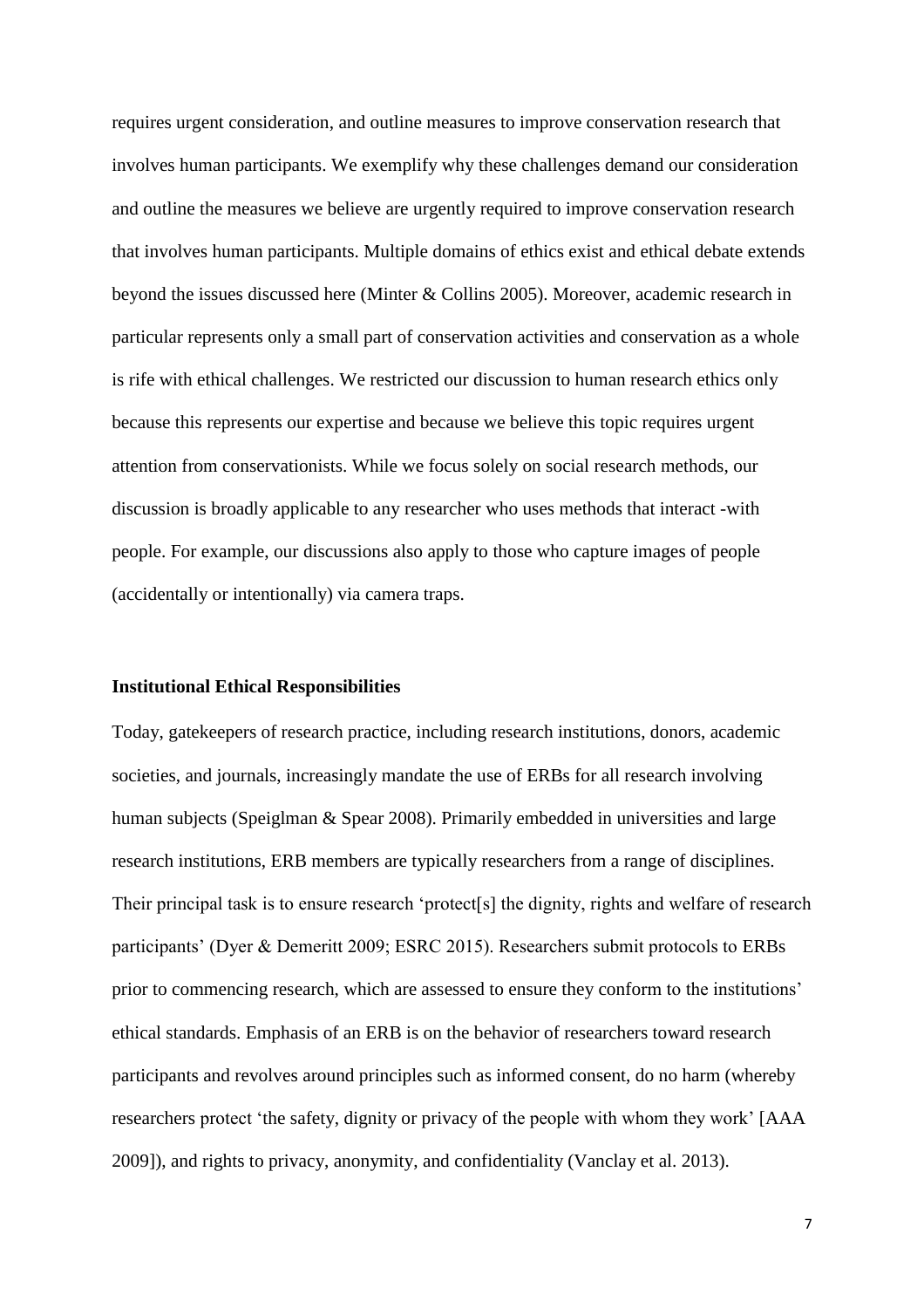requires urgent consideration, and outline measures to improve conservation research that involves human participants. We exemplify why these challenges demand our consideration and outline the measures we believe are urgently required to improve conservation research that involves human participants. Multiple domains of ethics exist and ethical debate extends beyond the issues discussed here (Minter & Collins 2005). Moreover, academic research in particular represents only a small part of conservation activities and conservation as a whole is rife with ethical challenges. We restricted our discussion to human research ethics only because this represents our expertise and because we believe this topic requires urgent attention from conservationists. While we focus solely on social research methods, our discussion is broadly applicable to any researcher who uses methods that interact -with people. For example, our discussions also apply to those who capture images of people (accidentally or intentionally) via camera traps.

#### **Institutional Ethical Responsibilities**

Today, gatekeepers of research practice, including research institutions, donors, academic societies, and journals, increasingly mandate the use of ERBs for all research involving human subjects (Speiglman & Spear 2008). Primarily embedded in universities and large research institutions, ERB members are typically researchers from a range of disciplines. Their principal task is to ensure research 'protect[s] the dignity, rights and welfare of research participants' (Dyer & Demeritt 2009; ESRC 2015). Researchers submit protocols to ERBs prior to commencing research, which are assessed to ensure they conform to the institutions' ethical standards. Emphasis of an ERB is on the behavior of researchers toward research participants and revolves around principles such as informed consent, do no harm (whereby researchers protect 'the safety, dignity or privacy of the people with whom they work' [AAA 2009]), and rights to privacy, anonymity, and confidentiality (Vanclay et al. 2013).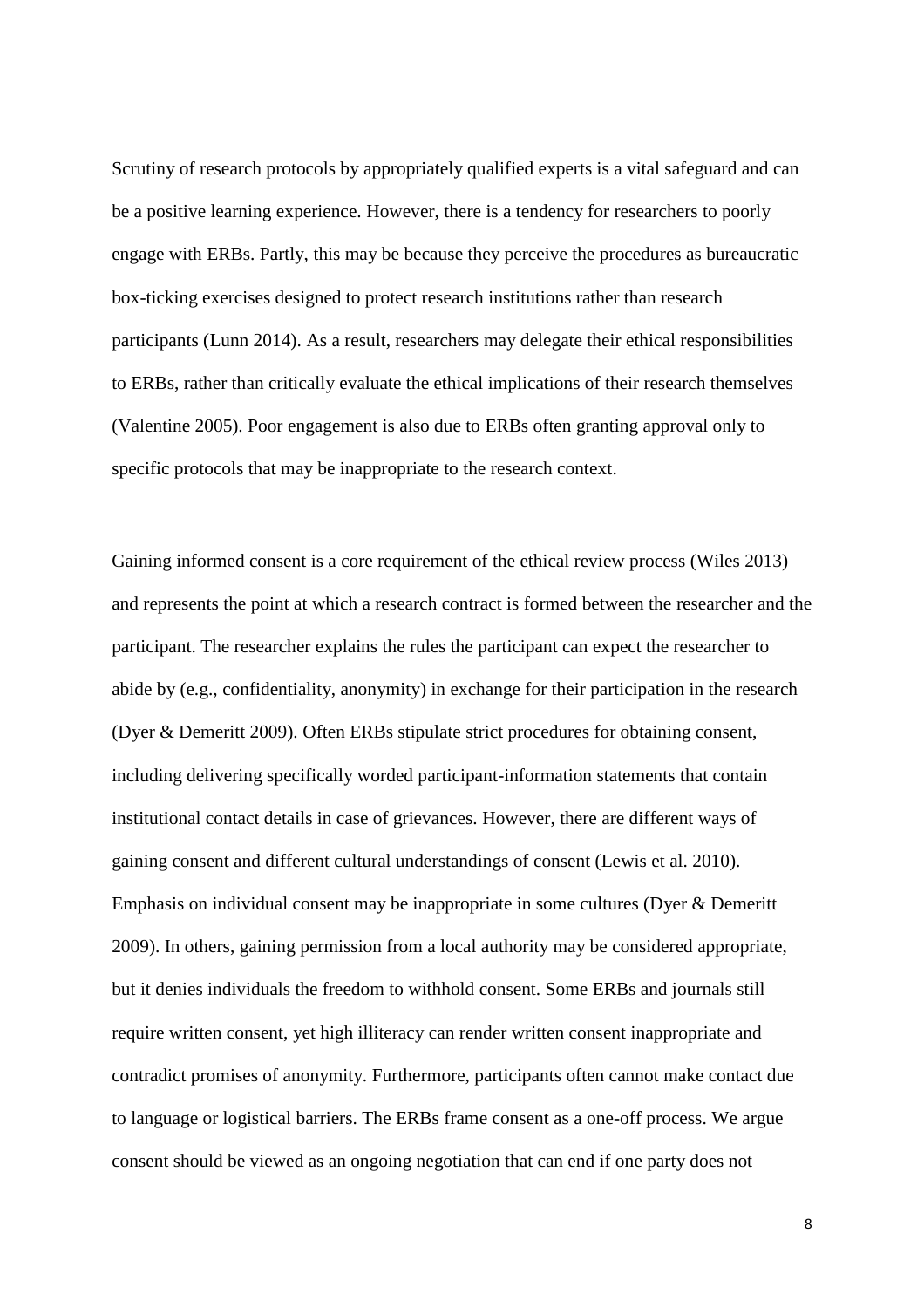Scrutiny of research protocols by appropriately qualified experts is a vital safeguard and can be a positive learning experience. However, there is a tendency for researchers to poorly engage with ERBs. Partly, this may be because they perceive the procedures as bureaucratic box-ticking exercises designed to protect research institutions rather than research participants (Lunn 2014). As a result, researchers may delegate their ethical responsibilities to ERBs, rather than critically evaluate the ethical implications of their research themselves (Valentine 2005). Poor engagement is also due to ERBs often granting approval only to specific protocols that may be inappropriate to the research context.

Gaining informed consent is a core requirement of the ethical review process (Wiles 2013) and represents the point at which a research contract is formed between the researcher and the participant. The researcher explains the rules the participant can expect the researcher to abide by (e.g., confidentiality, anonymity) in exchange for their participation in the research (Dyer & Demeritt 2009). Often ERBs stipulate strict procedures for obtaining consent, including delivering specifically worded participant-information statements that contain institutional contact details in case of grievances. However, there are different ways of gaining consent and different cultural understandings of consent (Lewis et al. 2010). Emphasis on individual consent may be inappropriate in some cultures (Dyer & Demeritt 2009). In others, gaining permission from a local authority may be considered appropriate, but it denies individuals the freedom to withhold consent. Some ERBs and journals still require written consent, yet high illiteracy can render written consent inappropriate and contradict promises of anonymity. Furthermore, participants often cannot make contact due to language or logistical barriers. The ERBs frame consent as a one-off process. We argue consent should be viewed as an ongoing negotiation that can end if one party does not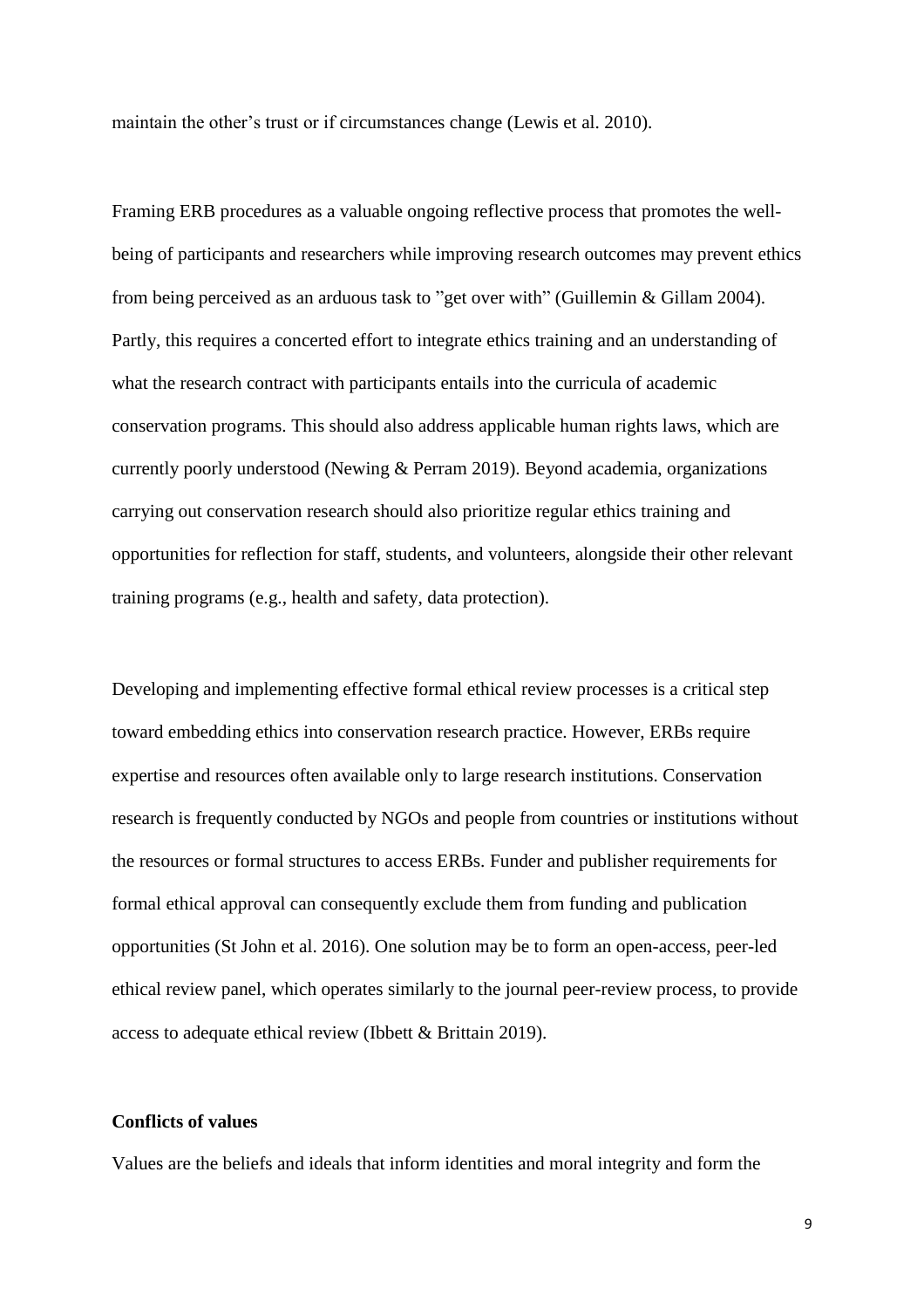maintain the other's trust or if circumstances change (Lewis et al. 2010).

Framing ERB procedures as a valuable ongoing reflective process that promotes the wellbeing of participants and researchers while improving research outcomes may prevent ethics from being perceived as an arduous task to "get over with" (Guillemin & Gillam 2004). Partly, this requires a concerted effort to integrate ethics training and an understanding of what the research contract with participants entails into the curricula of academic conservation programs. This should also address applicable human rights laws, which are currently poorly understood (Newing & Perram 2019). Beyond academia, organizations carrying out conservation research should also prioritize regular ethics training and opportunities for reflection for staff, students, and volunteers, alongside their other relevant training programs (e.g., health and safety, data protection).

Developing and implementing effective formal ethical review processes is a critical step toward embedding ethics into conservation research practice. However, ERBs require expertise and resources often available only to large research institutions. Conservation research is frequently conducted by NGOs and people from countries or institutions without the resources or formal structures to access ERBs. Funder and publisher requirements for formal ethical approval can consequently exclude them from funding and publication opportunities (St John et al. 2016). One solution may be to form an open-access, peer-led ethical review panel, which operates similarly to the journal peer-review process, to provide access to adequate ethical review (Ibbett & Brittain 2019).

## **Conflicts of values**

Values are the beliefs and ideals that inform identities and moral integrity and form the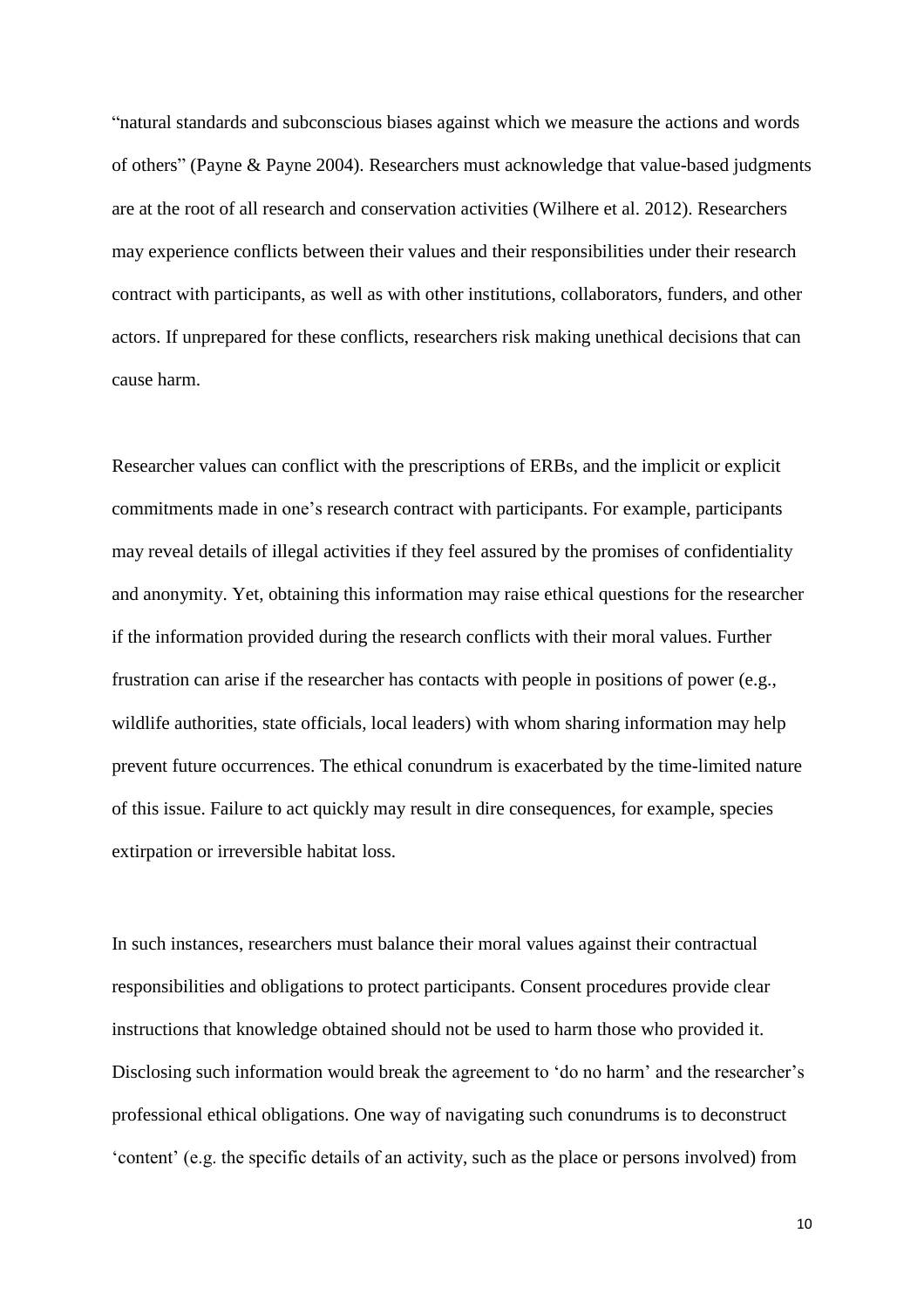"natural standards and subconscious biases against which we measure the actions and words of others" (Payne & Payne 2004). Researchers must acknowledge that value-based judgments are at the root of all research and conservation activities (Wilhere et al. 2012). Researchers may experience conflicts between their values and their responsibilities under their research contract with participants, as well as with other institutions, collaborators, funders, and other actors. If unprepared for these conflicts, researchers risk making unethical decisions that can cause harm.

Researcher values can conflict with the prescriptions of ERBs, and the implicit or explicit commitments made in one's research contract with participants. For example, participants may reveal details of illegal activities if they feel assured by the promises of confidentiality and anonymity. Yet, obtaining this information may raise ethical questions for the researcher if the information provided during the research conflicts with their moral values. Further frustration can arise if the researcher has contacts with people in positions of power (e.g., wildlife authorities, state officials, local leaders) with whom sharing information may help prevent future occurrences. The ethical conundrum is exacerbated by the time-limited nature of this issue. Failure to act quickly may result in dire consequences, for example, species extirpation or irreversible habitat loss.

In such instances, researchers must balance their moral values against their contractual responsibilities and obligations to protect participants. Consent procedures provide clear instructions that knowledge obtained should not be used to harm those who provided it. Disclosing such information would break the agreement to 'do no harm' and the researcher's professional ethical obligations. One way of navigating such conundrums is to deconstruct 'content' (e.g. the specific details of an activity, such as the place or persons involved) from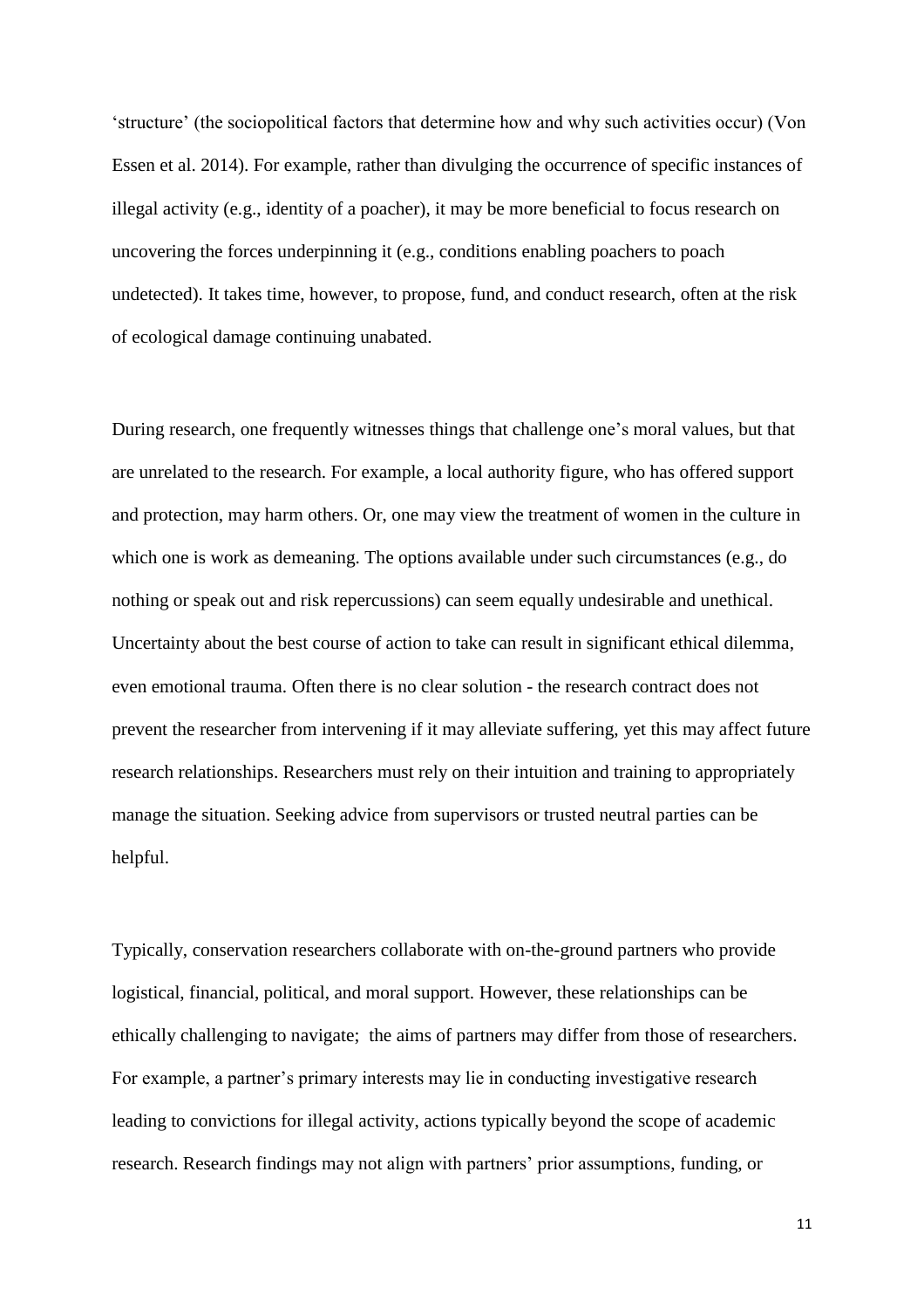'structure' (the sociopolitical factors that determine how and why such activities occur) (Von Essen et al. 2014). For example, rather than divulging the occurrence of specific instances of illegal activity (e.g., identity of a poacher), it may be more beneficial to focus research on uncovering the forces underpinning it (e.g., conditions enabling poachers to poach undetected). It takes time, however, to propose, fund, and conduct research, often at the risk of ecological damage continuing unabated.

During research, one frequently witnesses things that challenge one's moral values, but that are unrelated to the research. For example, a local authority figure, who has offered support and protection, may harm others. Or, one may view the treatment of women in the culture in which one is work as demeaning. The options available under such circumstances (e.g., do nothing or speak out and risk repercussions) can seem equally undesirable and unethical. Uncertainty about the best course of action to take can result in significant ethical dilemma, even emotional trauma. Often there is no clear solution - the research contract does not prevent the researcher from intervening if it may alleviate suffering, yet this may affect future research relationships. Researchers must rely on their intuition and training to appropriately manage the situation. Seeking advice from supervisors or trusted neutral parties can be helpful.

Typically, conservation researchers collaborate with on-the-ground partners who provide logistical, financial, political, and moral support. However, these relationships can be ethically challenging to navigate; the aims of partners may differ from those of researchers. For example, a partner's primary interests may lie in conducting investigative research leading to convictions for illegal activity, actions typically beyond the scope of academic research. Research findings may not align with partners' prior assumptions, funding, or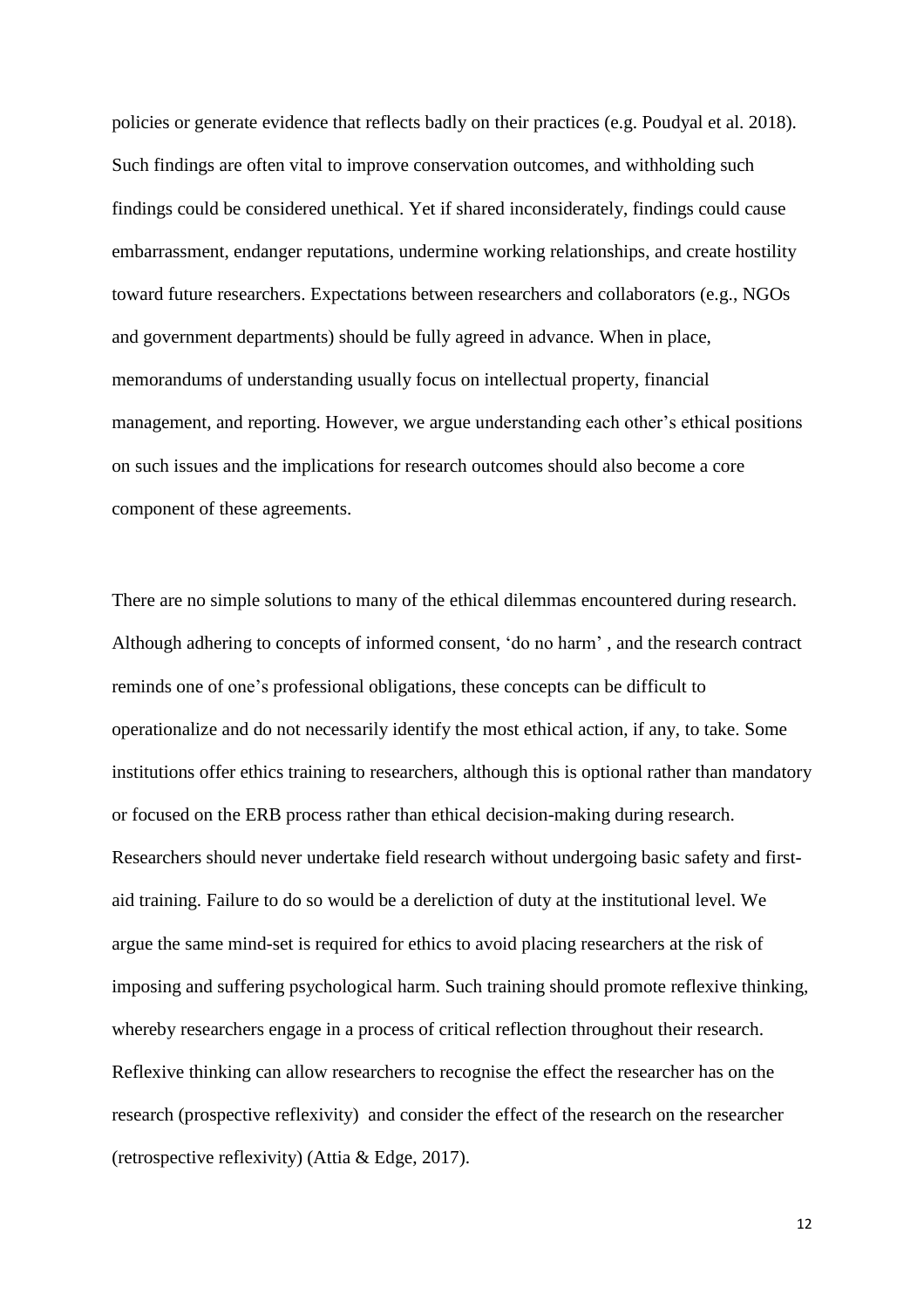policies or generate evidence that reflects badly on their practices (e.g. Poudyal et al. 2018). Such findings are often vital to improve conservation outcomes, and withholding such findings could be considered unethical. Yet if shared inconsiderately, findings could cause embarrassment, endanger reputations, undermine working relationships, and create hostility toward future researchers. Expectations between researchers and collaborators (e.g., NGOs and government departments) should be fully agreed in advance. When in place, memorandums of understanding usually focus on intellectual property, financial management, and reporting. However, we argue understanding each other's ethical positions on such issues and the implications for research outcomes should also become a core component of these agreements.

There are no simple solutions to many of the ethical dilemmas encountered during research. Although adhering to concepts of informed consent, 'do no harm' , and the research contract reminds one of one's professional obligations, these concepts can be difficult to operationalize and do not necessarily identify the most ethical action, if any, to take. Some institutions offer ethics training to researchers, although this is optional rather than mandatory or focused on the ERB process rather than ethical decision-making during research. Researchers should never undertake field research without undergoing basic safety and firstaid training. Failure to do so would be a dereliction of duty at the institutional level. We argue the same mind-set is required for ethics to avoid placing researchers at the risk of imposing and suffering psychological harm. Such training should promote reflexive thinking, whereby researchers engage in a process of critical reflection throughout their research. Reflexive thinking can allow researchers to recognise the effect the researcher has on the research (prospective reflexivity) and consider the effect of the research on the researcher (retrospective reflexivity) (Attia & Edge, 2017).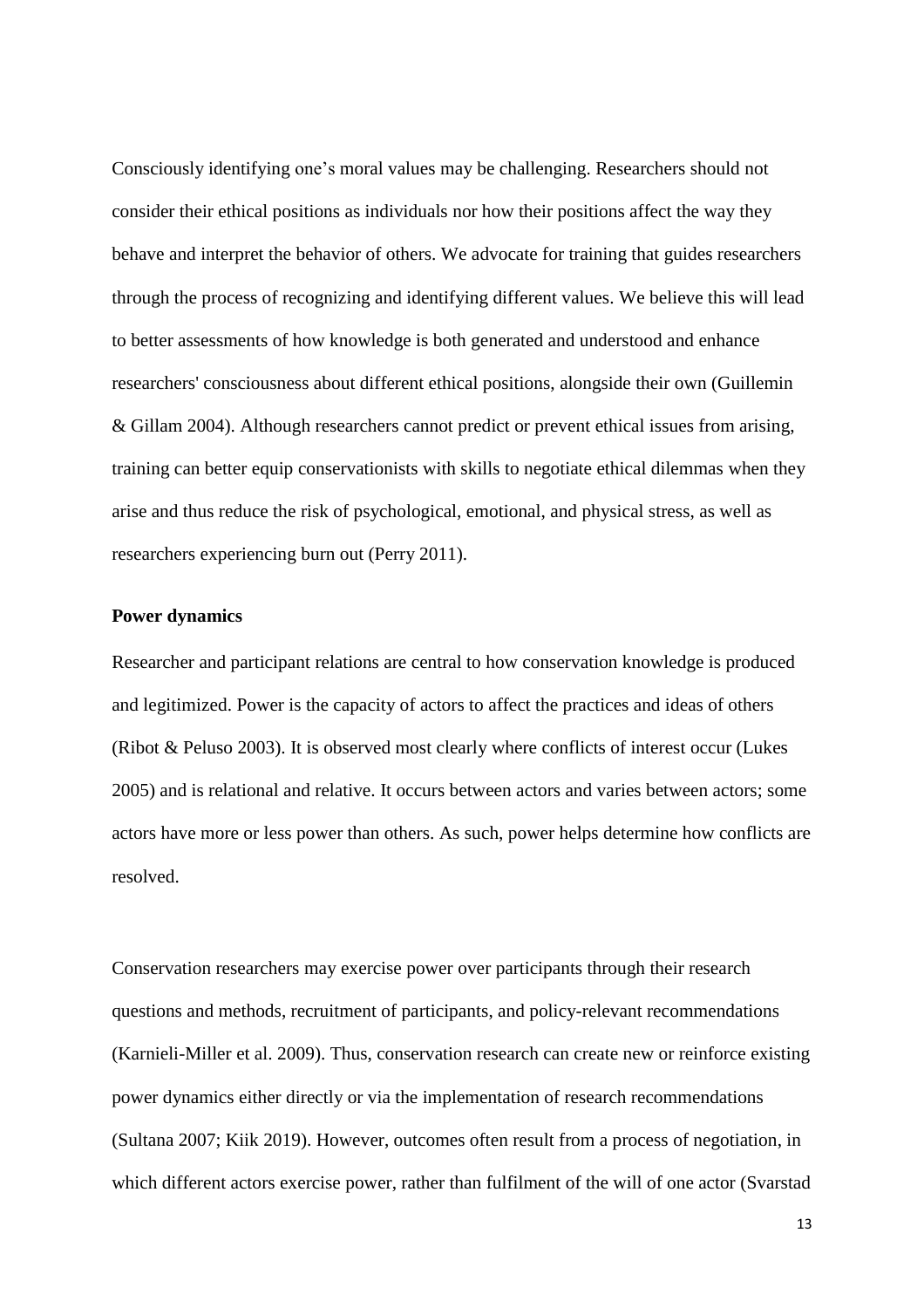Consciously identifying one's moral values may be challenging. Researchers should not consider their ethical positions as individuals nor how their positions affect the way they behave and interpret the behavior of others. We advocate for training that guides researchers through the process of recognizing and identifying different values. We believe this will lead to better assessments of how knowledge is both generated and understood and enhance researchers' consciousness about different ethical positions, alongside their own (Guillemin & Gillam 2004). Although researchers cannot predict or prevent ethical issues from arising, training can better equip conservationists with skills to negotiate ethical dilemmas when they arise and thus reduce the risk of psychological, emotional, and physical stress, as well as researchers experiencing burn out (Perry 2011).

#### **Power dynamics**

Researcher and participant relations are central to how conservation knowledge is produced and legitimized. Power is the capacity of actors to affect the practices and ideas of others (Ribot & Peluso 2003). It is observed most clearly where conflicts of interest occur (Lukes 2005) and is relational and relative. It occurs between actors and varies between actors; some actors have more or less power than others. As such, power helps determine how conflicts are resolved.

Conservation researchers may exercise power over participants through their research questions and methods, recruitment of participants, and policy-relevant recommendations (Karnieli-Miller et al. 2009). Thus, conservation research can create new or reinforce existing power dynamics either directly or via the implementation of research recommendations (Sultana 2007; Kiik 2019). However, outcomes often result from a process of negotiation, in which different actors exercise power, rather than fulfilment of the will of one actor (Svarstad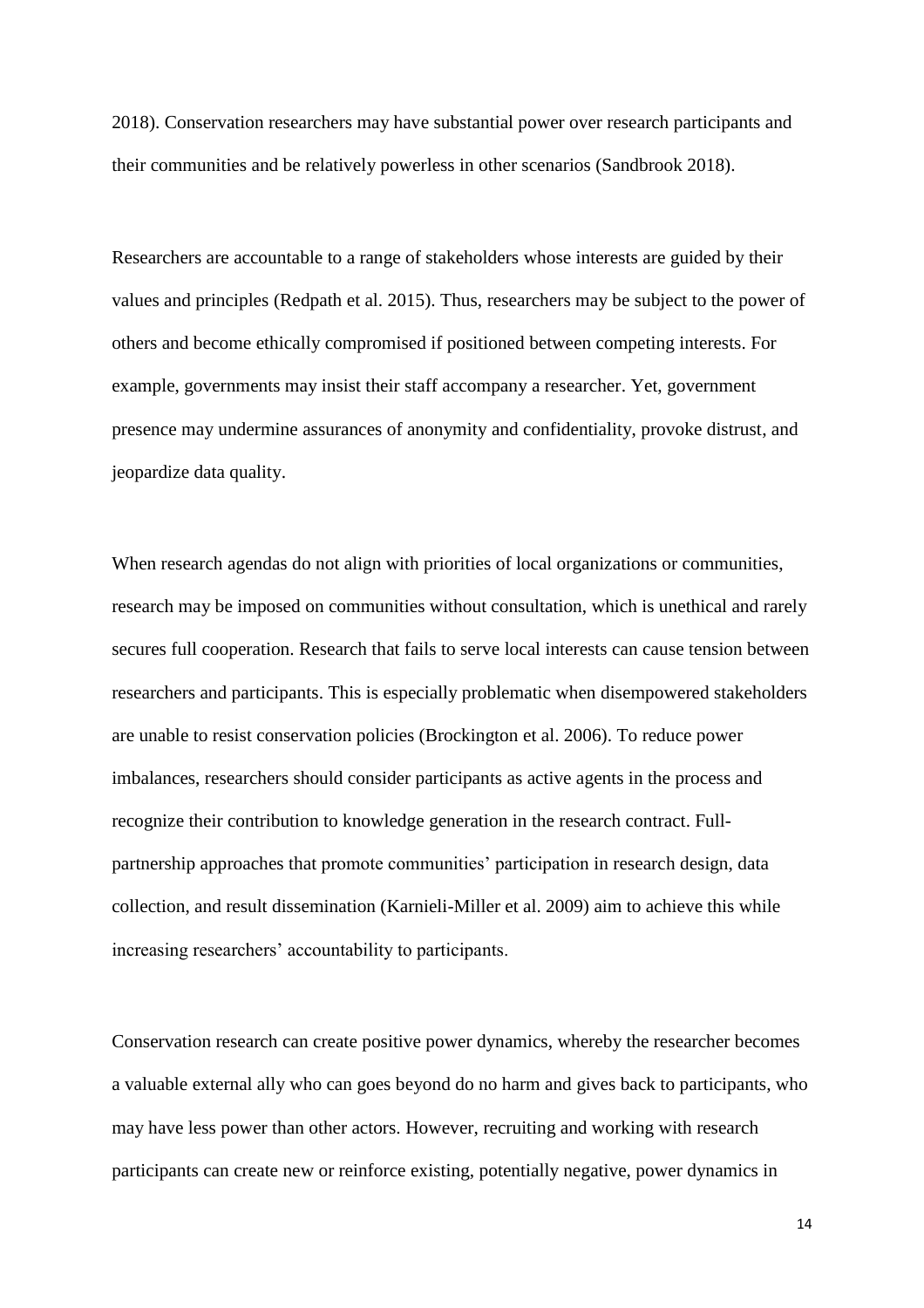2018). Conservation researchers may have substantial power over research participants and their communities and be relatively powerless in other scenarios (Sandbrook 2018).

Researchers are accountable to a range of stakeholders whose interests are guided by their values and principles (Redpath et al. 2015). Thus, researchers may be subject to the power of others and become ethically compromised if positioned between competing interests. For example, governments may insist their staff accompany a researcher. Yet, government presence may undermine assurances of anonymity and confidentiality, provoke distrust, and jeopardize data quality.

When research agendas do not align with priorities of local organizations or communities, research may be imposed on communities without consultation, which is unethical and rarely secures full cooperation. Research that fails to serve local interests can cause tension between researchers and participants. This is especially problematic when disempowered stakeholders are unable to resist conservation policies (Brockington et al. 2006). To reduce power imbalances, researchers should consider participants as active agents in the process and recognize their contribution to knowledge generation in the research contract. Fullpartnership approaches that promote communities' participation in research design, data collection, and result dissemination (Karnieli-Miller et al. 2009) aim to achieve this while increasing researchers' accountability to participants.

Conservation research can create positive power dynamics, whereby the researcher becomes a valuable external ally who can goes beyond do no harm and gives back to participants, who may have less power than other actors. However, recruiting and working with research participants can create new or reinforce existing, potentially negative, power dynamics in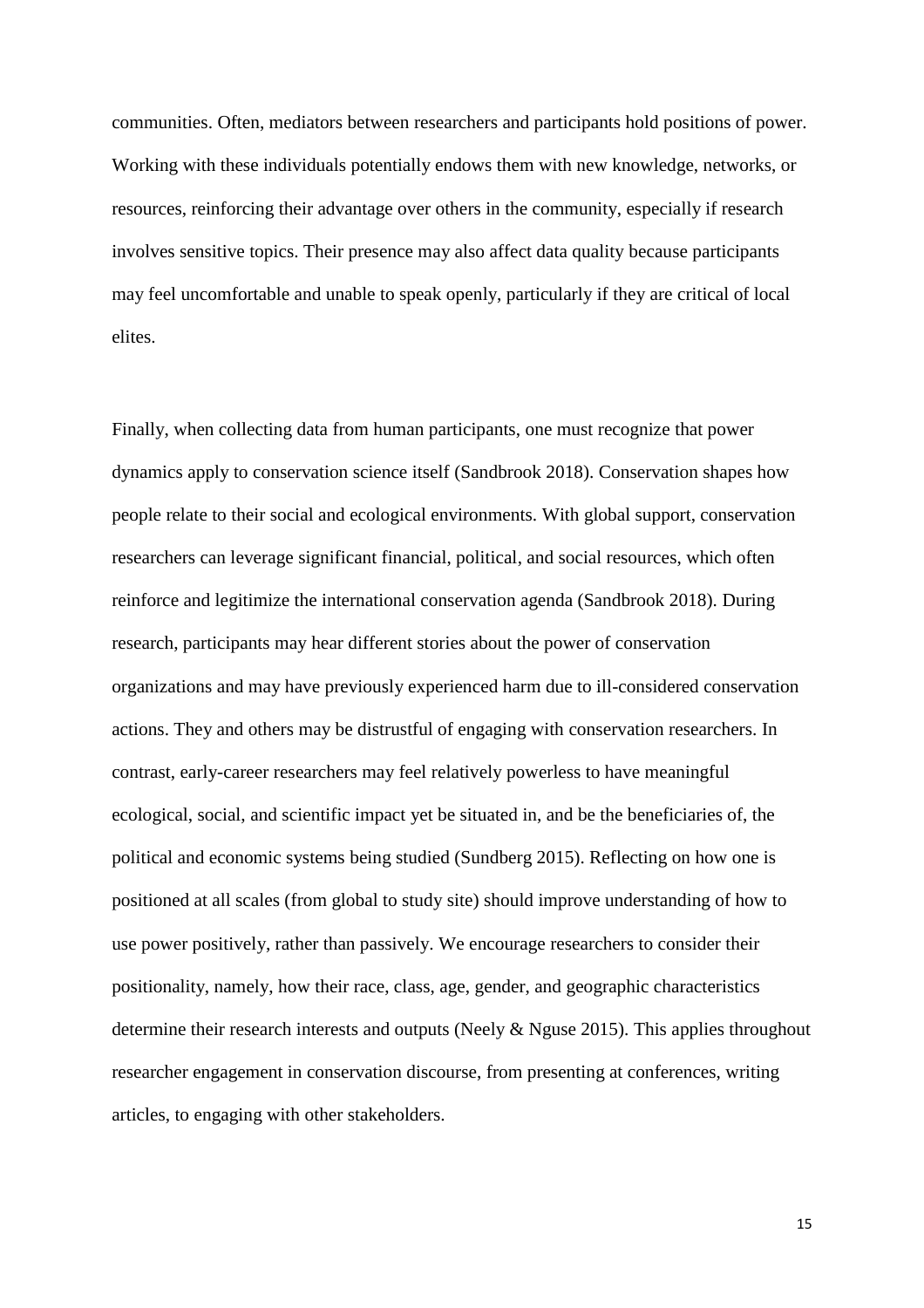communities. Often, mediators between researchers and participants hold positions of power. Working with these individuals potentially endows them with new knowledge, networks, or resources, reinforcing their advantage over others in the community, especially if research involves sensitive topics. Their presence may also affect data quality because participants may feel uncomfortable and unable to speak openly, particularly if they are critical of local elites.

Finally, when collecting data from human participants, one must recognize that power dynamics apply to conservation science itself (Sandbrook 2018). Conservation shapes how people relate to their social and ecological environments. With global support, conservation researchers can leverage significant financial, political, and social resources, which often reinforce and legitimize the international conservation agenda (Sandbrook 2018). During research, participants may hear different stories about the power of conservation organizations and may have previously experienced harm due to ill-considered conservation actions. They and others may be distrustful of engaging with conservation researchers. In contrast, early-career researchers may feel relatively powerless to have meaningful ecological, social, and scientific impact yet be situated in, and be the beneficiaries of, the political and economic systems being studied (Sundberg 2015). Reflecting on how one is positioned at all scales (from global to study site) should improve understanding of how to use power positively, rather than passively. We encourage researchers to consider their positionality, namely, how their race, class, age, gender, and geographic characteristics determine their research interests and outputs (Neely & Nguse 2015). This applies throughout researcher engagement in conservation discourse, from presenting at conferences, writing articles, to engaging with other stakeholders.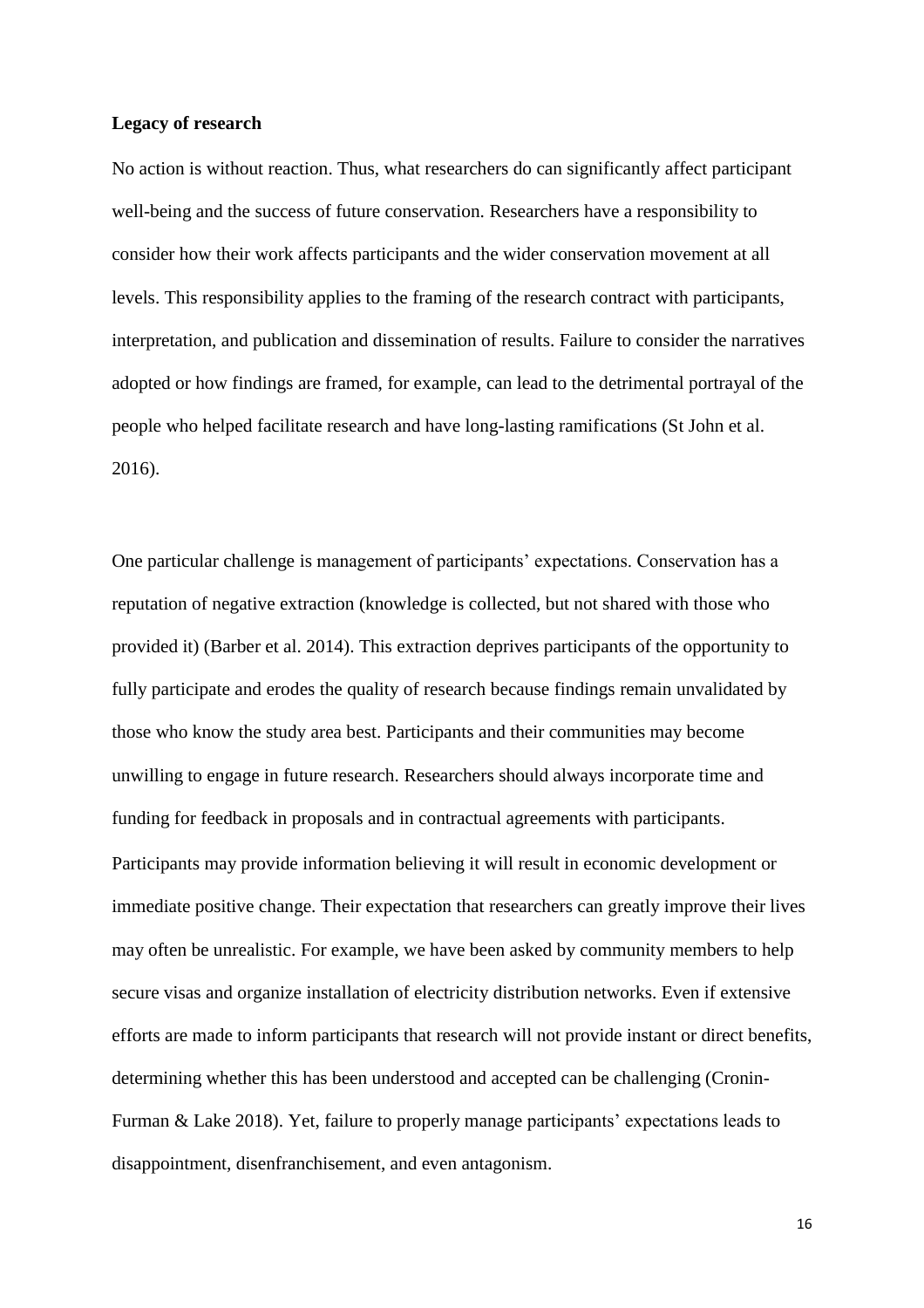## **Legacy of research**

No action is without reaction. Thus, what researchers do can significantly affect participant well-being and the success of future conservation. Researchers have a responsibility to consider how their work affects participants and the wider conservation movement at all levels. This responsibility applies to the framing of the research contract with participants, interpretation, and publication and dissemination of results. Failure to consider the narratives adopted or how findings are framed, for example, can lead to the detrimental portrayal of the people who helped facilitate research and have long-lasting ramifications (St John et al. 2016).

One particular challenge is management of participants' expectations. Conservation has a reputation of negative extraction (knowledge is collected, but not shared with those who provided it) (Barber et al. 2014). This extraction deprives participants of the opportunity to fully participate and erodes the quality of research because findings remain unvalidated by those who know the study area best. Participants and their communities may become unwilling to engage in future research. Researchers should always incorporate time and funding for feedback in proposals and in contractual agreements with participants. Participants may provide information believing it will result in economic development or immediate positive change. Their expectation that researchers can greatly improve their lives may often be unrealistic. For example, we have been asked by community members to help secure visas and organize installation of electricity distribution networks. Even if extensive efforts are made to inform participants that research will not provide instant or direct benefits, determining whether this has been understood and accepted can be challenging (Cronin-Furman & Lake 2018). Yet, failure to properly manage participants' expectations leads to disappointment, disenfranchisement, and even antagonism.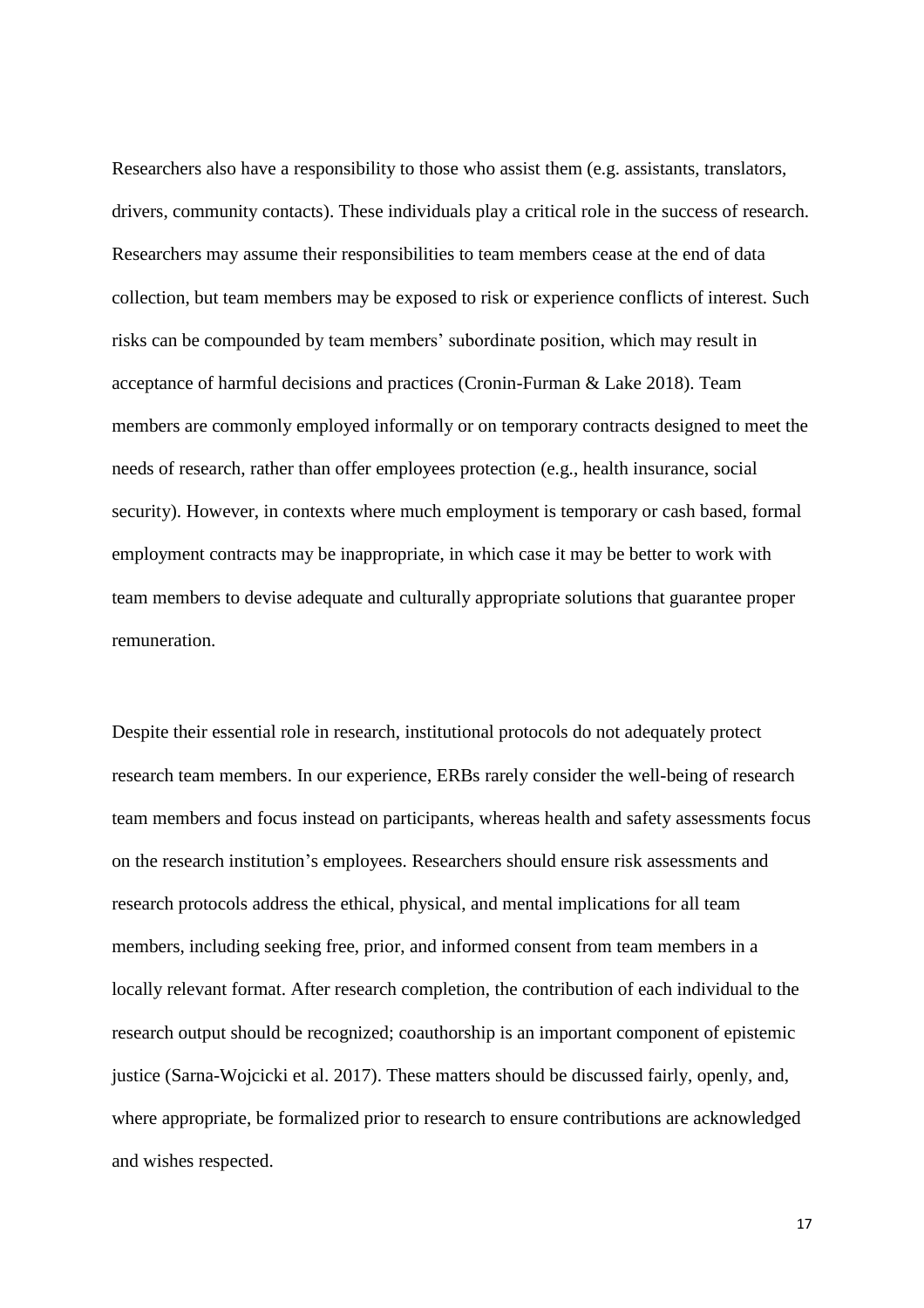Researchers also have a responsibility to those who assist them (e.g. assistants, translators, drivers, community contacts). These individuals play a critical role in the success of research. Researchers may assume their responsibilities to team members cease at the end of data collection, but team members may be exposed to risk or experience conflicts of interest. Such risks can be compounded by team members' subordinate position, which may result in acceptance of harmful decisions and practices (Cronin-Furman & Lake 2018). Team members are commonly employed informally or on temporary contracts designed to meet the needs of research, rather than offer employees protection (e.g., health insurance, social security). However, in contexts where much employment is temporary or cash based, formal employment contracts may be inappropriate, in which case it may be better to work with team members to devise adequate and culturally appropriate solutions that guarantee proper remuneration.

Despite their essential role in research, institutional protocols do not adequately protect research team members. In our experience, ERBs rarely consider the well-being of research team members and focus instead on participants, whereas health and safety assessments focus on the research institution's employees. Researchers should ensure risk assessments and research protocols address the ethical, physical, and mental implications for all team members, including seeking free, prior, and informed consent from team members in a locally relevant format. After research completion, the contribution of each individual to the research output should be recognized; coauthorship is an important component of epistemic justice (Sarna-Wojcicki et al. 2017). These matters should be discussed fairly, openly, and, where appropriate, be formalized prior to research to ensure contributions are acknowledged and wishes respected.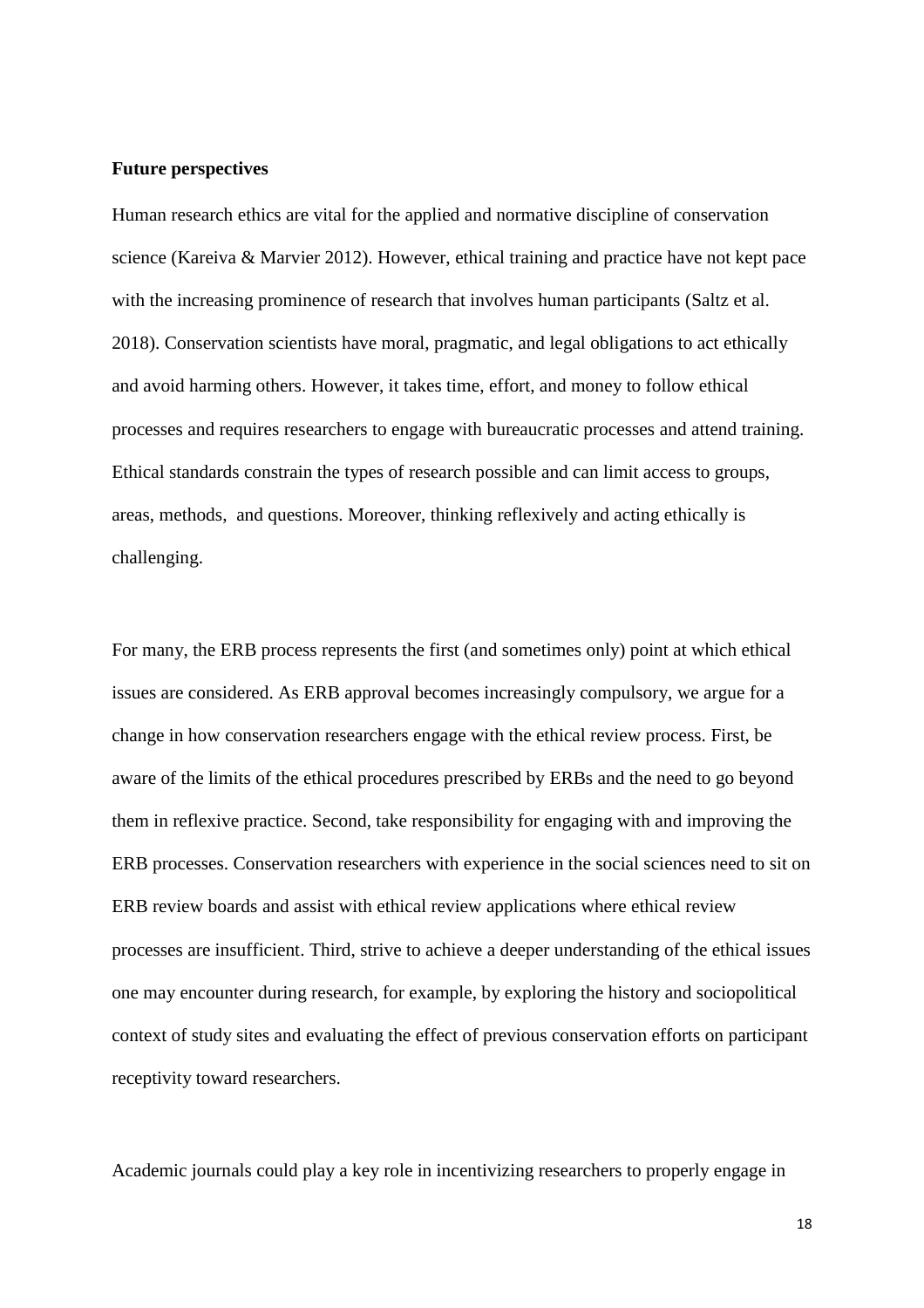## **Future perspectives**

Human research ethics are vital for the applied and normative discipline of conservation science (Kareiva & Marvier 2012). However, ethical training and practice have not kept pace with the increasing prominence of research that involves human participants (Saltz et al. 2018). Conservation scientists have moral, pragmatic, and legal obligations to act ethically and avoid harming others. However, it takes time, effort, and money to follow ethical processes and requires researchers to engage with bureaucratic processes and attend training. Ethical standards constrain the types of research possible and can limit access to groups, areas, methods, and questions. Moreover, thinking reflexively and acting ethically is challenging.

For many, the ERB process represents the first (and sometimes only) point at which ethical issues are considered. As ERB approval becomes increasingly compulsory, we argue for a change in how conservation researchers engage with the ethical review process. First, be aware of the limits of the ethical procedures prescribed by ERBs and the need to go beyond them in reflexive practice. Second, take responsibility for engaging with and improving the ERB processes. Conservation researchers with experience in the social sciences need to sit on ERB review boards and assist with ethical review applications where ethical review processes are insufficient. Third, strive to achieve a deeper understanding of the ethical issues one may encounter during research, for example, by exploring the history and sociopolitical context of study sites and evaluating the effect of previous conservation efforts on participant receptivity toward researchers.

Academic journals could play a key role in incentivizing researchers to properly engage in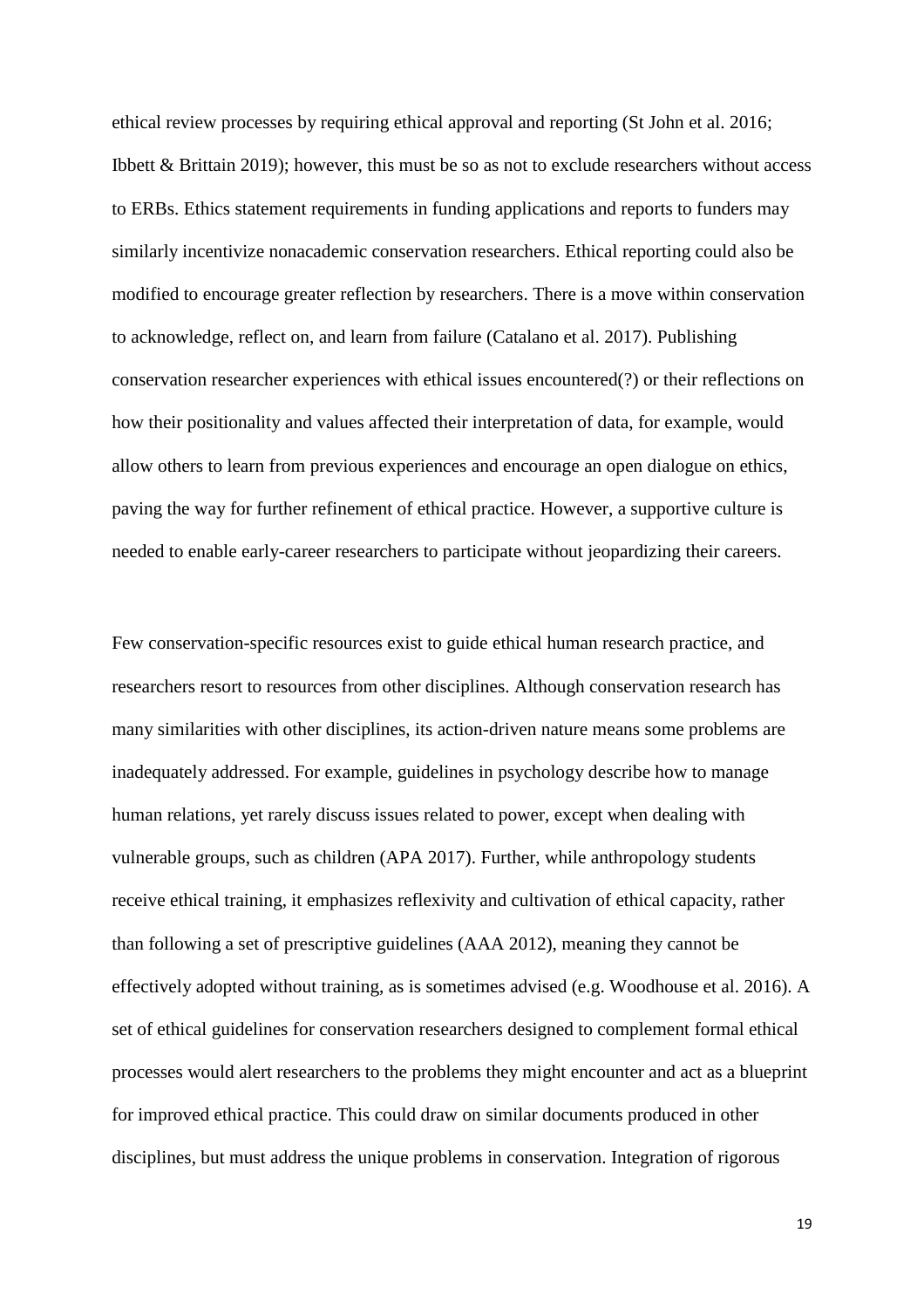ethical review processes by requiring ethical approval and reporting (St John et al. 2016; Ibbett & Brittain 2019); however, this must be so as not to exclude researchers without access to ERBs. Ethics statement requirements in funding applications and reports to funders may similarly incentivize nonacademic conservation researchers. Ethical reporting could also be modified to encourage greater reflection by researchers. There is a move within conservation to acknowledge, reflect on, and learn from failure (Catalano et al. 2017). Publishing conservation researcher experiences with ethical issues encountered(?) or their reflections on how their positionality and values affected their interpretation of data, for example, would allow others to learn from previous experiences and encourage an open dialogue on ethics, paving the way for further refinement of ethical practice. However, a supportive culture is needed to enable early-career researchers to participate without jeopardizing their careers.

Few conservation-specific resources exist to guide ethical human research practice, and researchers resort to resources from other disciplines. Although conservation research has many similarities with other disciplines, its action-driven nature means some problems are inadequately addressed. For example, guidelines in psychology describe how to manage human relations, yet rarely discuss issues related to power, except when dealing with vulnerable groups, such as children (APA 2017). Further, while anthropology students receive ethical training, it emphasizes reflexivity and cultivation of ethical capacity, rather than following a set of prescriptive guidelines (AAA 2012), meaning they cannot be effectively adopted without training, as is sometimes advised (e.g. Woodhouse et al. 2016). A set of ethical guidelines for conservation researchers designed to complement formal ethical processes would alert researchers to the problems they might encounter and act as a blueprint for improved ethical practice. This could draw on similar documents produced in other disciplines, but must address the unique problems in conservation. Integration of rigorous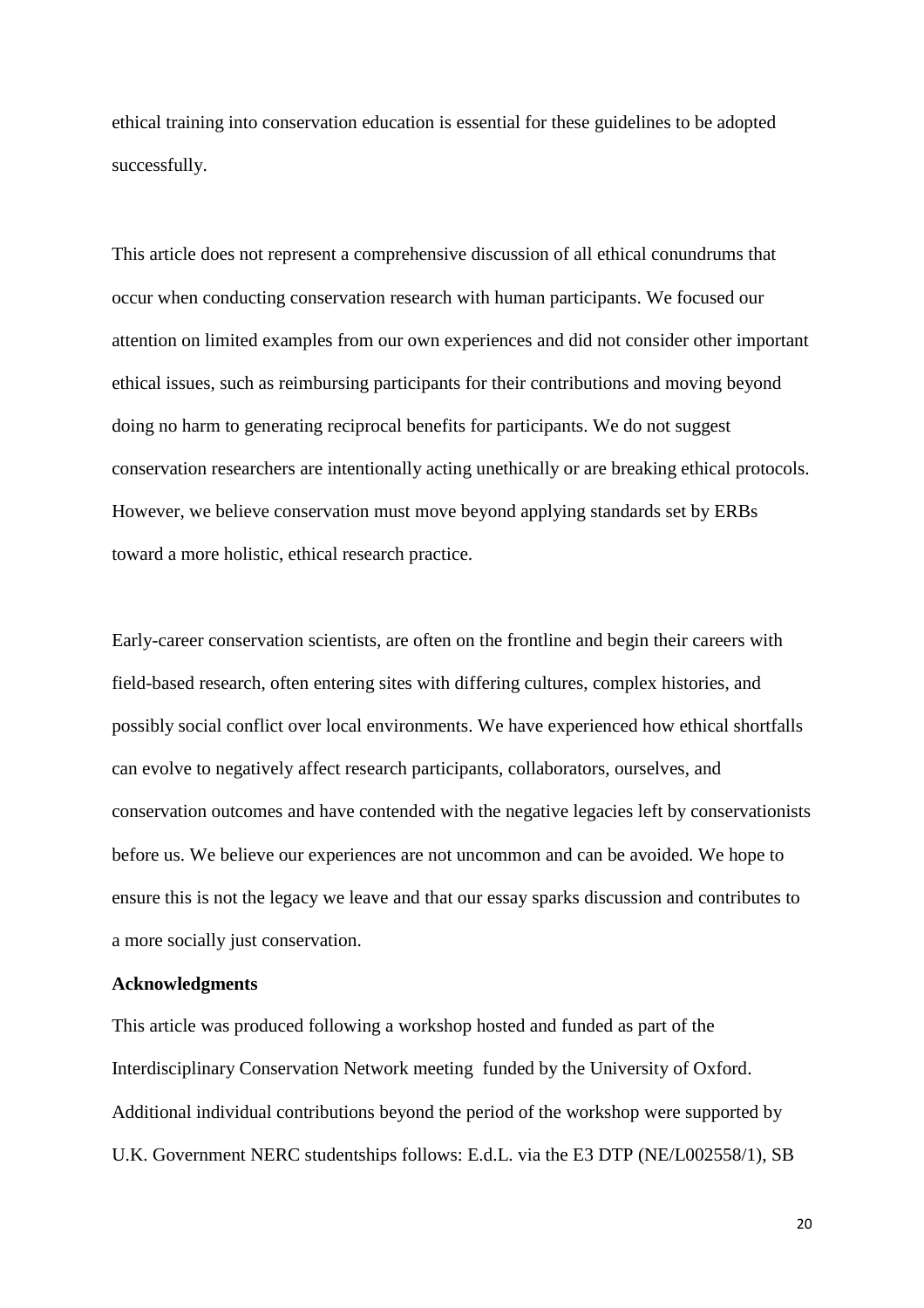ethical training into conservation education is essential for these guidelines to be adopted successfully.

This article does not represent a comprehensive discussion of all ethical conundrums that occur when conducting conservation research with human participants. We focused our attention on limited examples from our own experiences and did not consider other important ethical issues, such as reimbursing participants for their contributions and moving beyond doing no harm to generating reciprocal benefits for participants. We do not suggest conservation researchers are intentionally acting unethically or are breaking ethical protocols. However, we believe conservation must move beyond applying standards set by ERBs toward a more holistic, ethical research practice.

Early-career conservation scientists, are often on the frontline and begin their careers with field-based research, often entering sites with differing cultures, complex histories, and possibly social conflict over local environments. We have experienced how ethical shortfalls can evolve to negatively affect research participants, collaborators, ourselves, and conservation outcomes and have contended with the negative legacies left by conservationists before us. We believe our experiences are not uncommon and can be avoided. We hope to ensure this is not the legacy we leave and that our essay sparks discussion and contributes to a more socially just conservation.

#### **Acknowledgments**

This article was produced following a workshop hosted and funded as part of the Interdisciplinary Conservation Network meeting funded by the University of Oxford. Additional individual contributions beyond the period of the workshop were supported by U.K. Government NERC studentships follows: E.d.L. via the E3 DTP (NE/L002558/1), SB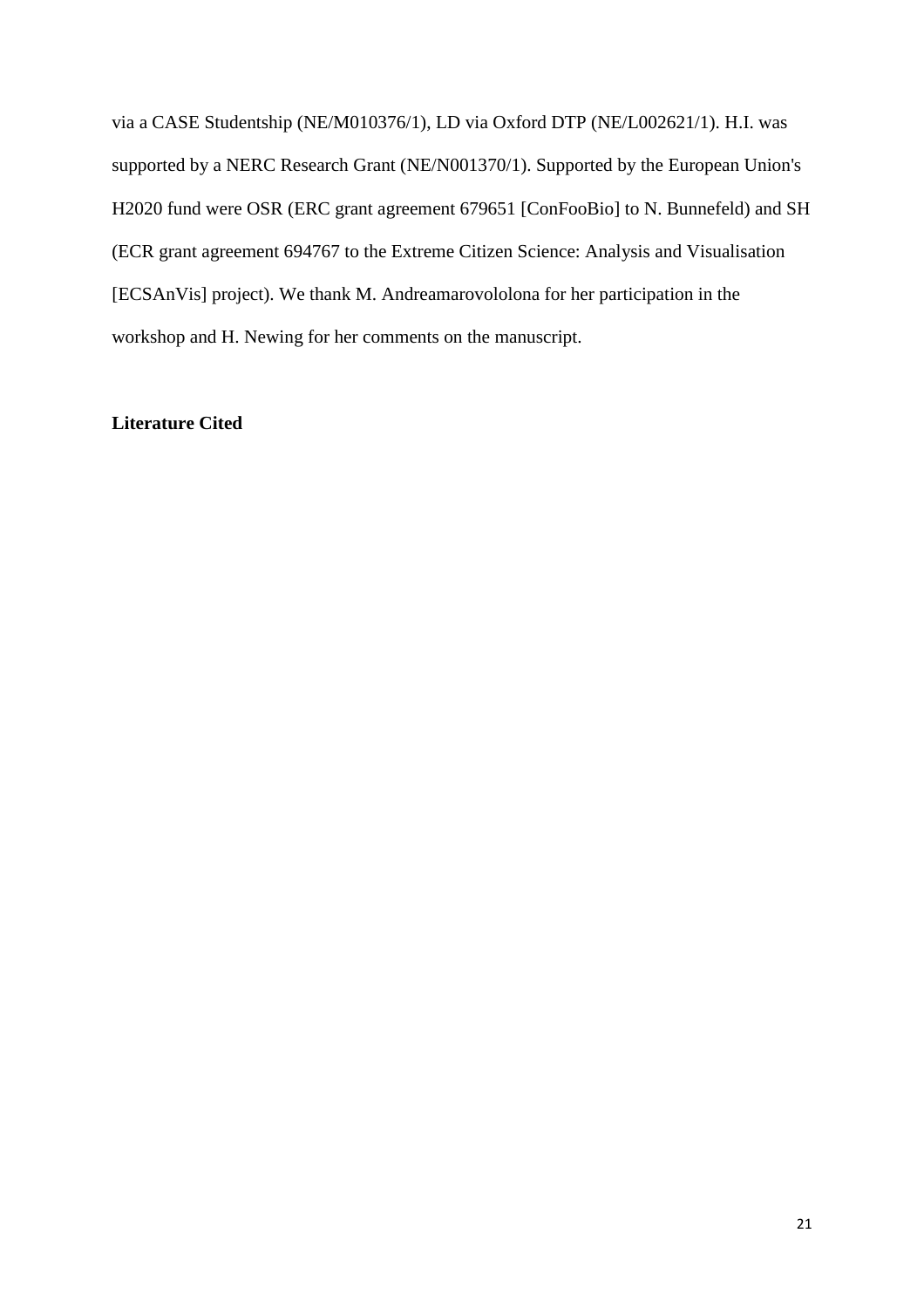via a CASE Studentship (NE/M010376/1), LD via Oxford DTP (NE/L002621/1). H.I. was supported by a NERC Research Grant (NE/N001370/1). Supported by the European Union's H2020 fund were OSR (ERC grant agreement 679651 [ConFooBio] to N. Bunnefeld) and SH (ECR grant agreement 694767 to the Extreme Citizen Science: Analysis and Visualisation [ECSAnVis] project). We thank M. Andreamarovololona for her participation in the workshop and H. Newing for her comments on the manuscript.

# **Literature Cited**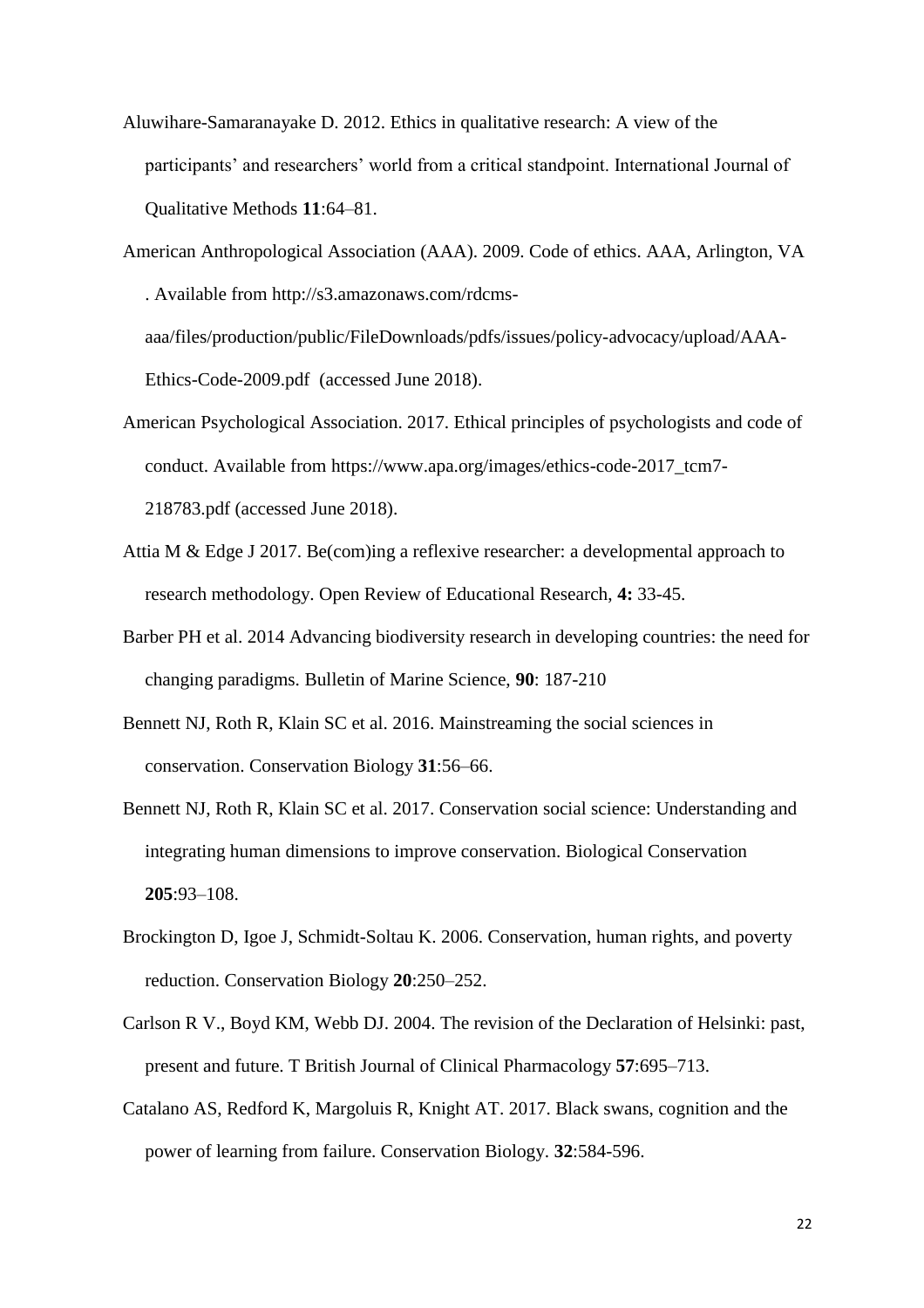- Aluwihare-Samaranayake D. 2012. Ethics in qualitative research: A view of the participants' and researchers' world from a critical standpoint. International Journal of Qualitative Methods **11**:64–81.
- American Anthropological Association (AAA). 2009. Code of ethics. AAA, Arlington, VA . Available from http://s3.amazonaws.com/rdcmsaaa/files/production/public/FileDownloads/pdfs/issues/policy-advocacy/upload/AAA-

Ethics-Code-2009.pdf (accessed June 2018).

- American Psychological Association. 2017. Ethical principles of psychologists and code of conduct. Available from https://www.apa.org/images/ethics-code-2017\_tcm7- 218783.pdf (accessed June 2018).
- Attia M & Edge J 2017. Be(com)ing a reflexive researcher: a developmental approach to research methodology. Open Review of Educational Research, **4:** 33-45.
- Barber PH et al. 2014 Advancing biodiversity research in developing countries: the need for changing paradigms. Bulletin of Marine Science, **90**: 187-210
- Bennett NJ, Roth R, Klain SC et al. 2016. Mainstreaming the social sciences in conservation. Conservation Biology **31**:56–66.
- Bennett NJ, Roth R, Klain SC et al. 2017. Conservation social science: Understanding and integrating human dimensions to improve conservation. Biological Conservation **205**:93–108.
- Brockington D, Igoe J, Schmidt-Soltau K. 2006. Conservation, human rights, and poverty reduction. Conservation Biology **20**:250–252.
- Carlson R V., Boyd KM, Webb DJ. 2004. The revision of the Declaration of Helsinki: past, present and future. T British Journal of Clinical Pharmacology **57**:695–713.
- Catalano AS, Redford K, Margoluis R, Knight AT. 2017. Black swans, cognition and the power of learning from failure. Conservation Biology. **32**:584-596.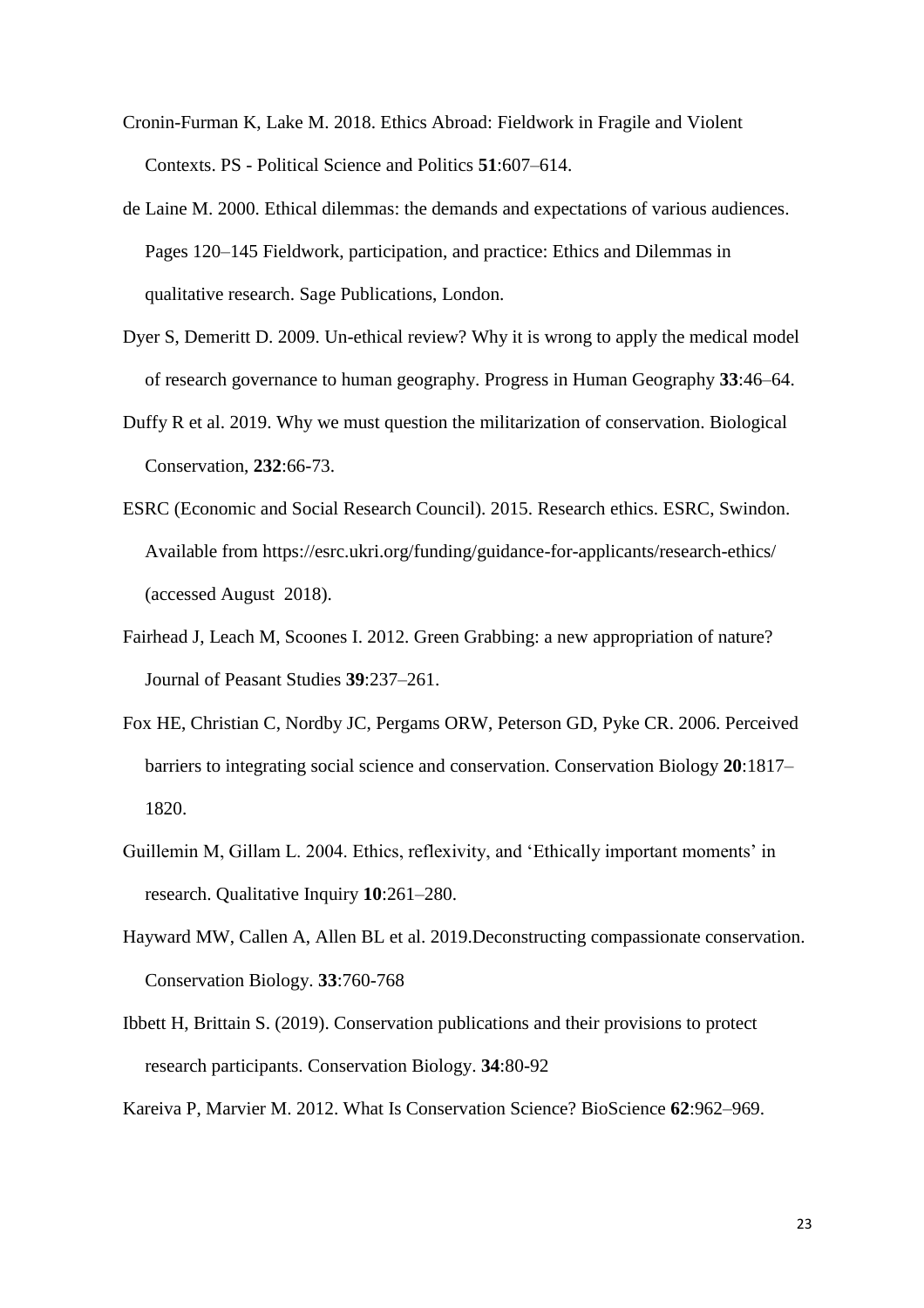- Cronin-Furman K, Lake M. 2018. Ethics Abroad: Fieldwork in Fragile and Violent Contexts. PS - Political Science and Politics **51**:607–614.
- de Laine M. 2000. Ethical dilemmas: the demands and expectations of various audiences. Pages 120–145 Fieldwork, participation, and practice: Ethics and Dilemmas in qualitative research. Sage Publications, London.
- Dyer S, Demeritt D. 2009. Un-ethical review? Why it is wrong to apply the medical model of research governance to human geography. Progress in Human Geography **33**:46–64.
- Duffy R et al. 2019. Why we must question the militarization of conservation. Biological Conservation, **232**:66-73.
- ESRC (Economic and Social Research Council). 2015. Research ethics. ESRC, Swindon. Available from https://esrc.ukri.org/funding/guidance-for-applicants/research-ethics/ (accessed August 2018).
- Fairhead J, Leach M, Scoones I. 2012. Green Grabbing: a new appropriation of nature? Journal of Peasant Studies **39**:237–261.
- Fox HE, Christian C, Nordby JC, Pergams ORW, Peterson GD, Pyke CR. 2006. Perceived barriers to integrating social science and conservation. Conservation Biology **20**:1817– 1820.
- Guillemin M, Gillam L. 2004. Ethics, reflexivity, and 'Ethically important moments' in research. Qualitative Inquiry **10**:261–280.
- Hayward MW, Callen A, Allen BL et al. 2019.Deconstructing compassionate conservation. Conservation Biology. **33**:760-768
- Ibbett H, Brittain S. (2019). Conservation publications and their provisions to protect research participants. Conservation Biology. **34**:80-92
- Kareiva P, Marvier M. 2012. What Is Conservation Science? BioScience **62**:962–969.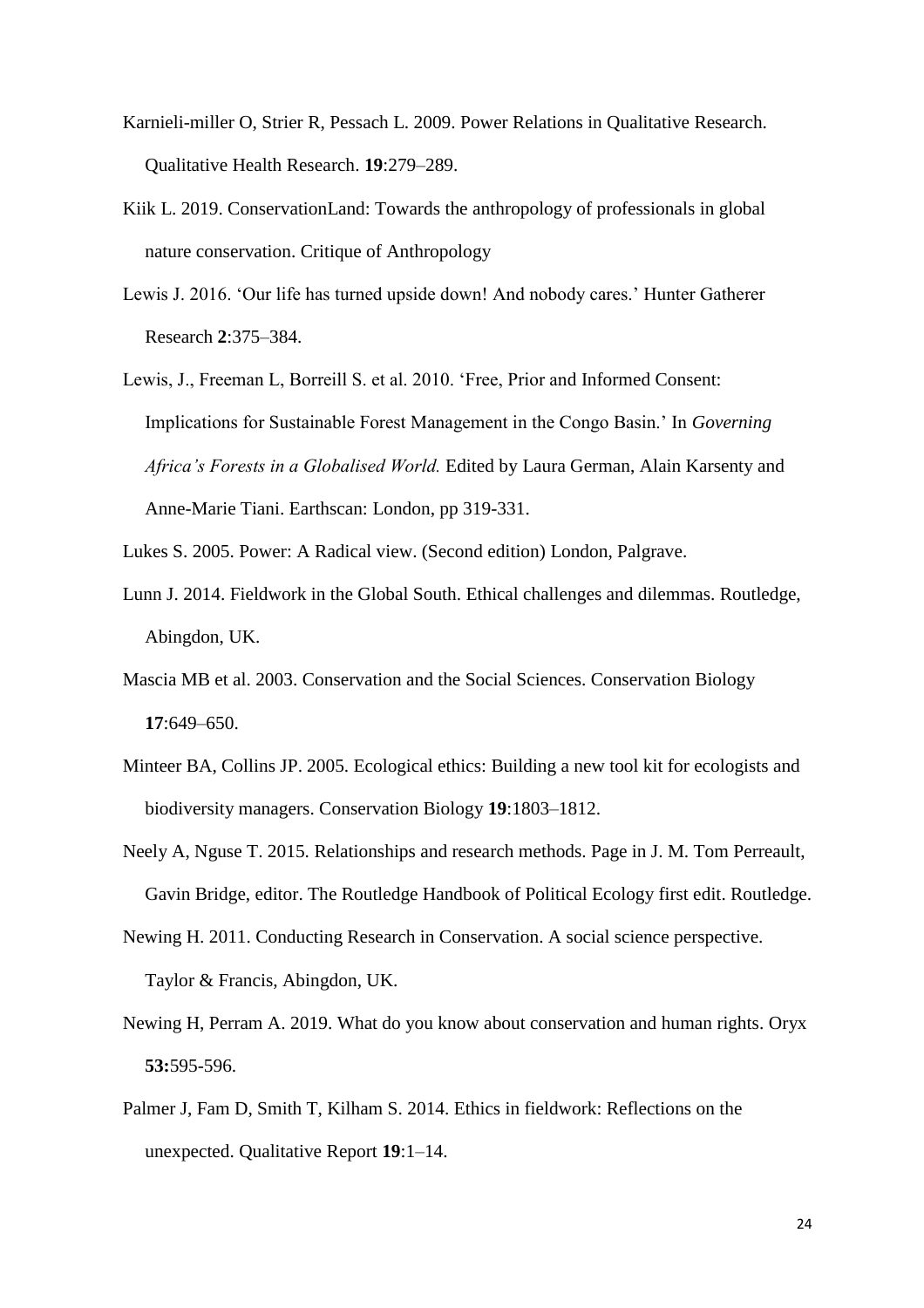- Karnieli-miller O, Strier R, Pessach L. 2009. Power Relations in Qualitative Research. Qualitative Health Research. **19**:279–289.
- Kiik L. 2019. ConservationLand: Towards the anthropology of professionals in global nature conservation. Critique of Anthropology
- Lewis J. 2016. 'Our life has turned upside down! And nobody cares.' Hunter Gatherer Research **2**:375–384.
- Lewis, J., Freeman L, Borreill S. et al. 2010. 'Free, Prior and Informed Consent: Implications for Sustainable Forest Management in the Congo Basin.' In *Governing Africa's Forests in a Globalised World.* Edited by Laura German, Alain Karsenty and Anne-Marie Tiani. Earthscan: London, pp 319-331.
- Lukes S. 2005. Power: A Radical view. (Second edition) London, Palgrave.
- Lunn J. 2014. Fieldwork in the Global South. Ethical challenges and dilemmas. Routledge, Abingdon, UK.
- Mascia MB et al. 2003. Conservation and the Social Sciences. Conservation Biology **17**:649–650.
- Minteer BA, Collins JP. 2005. Ecological ethics: Building a new tool kit for ecologists and biodiversity managers. Conservation Biology **19**:1803–1812.
- Neely A, Nguse T. 2015. Relationships and research methods. Page in J. M. Tom Perreault, Gavin Bridge, editor. The Routledge Handbook of Political Ecology first edit. Routledge.
- Newing H. 2011. Conducting Research in Conservation. A social science perspective. Taylor & Francis, Abingdon, UK.
- Newing H, Perram A. 2019. What do you know about conservation and human rights. Oryx **53:**595-596.
- Palmer J, Fam D, Smith T, Kilham S. 2014. Ethics in fieldwork: Reflections on the unexpected. Qualitative Report **19**:1–14.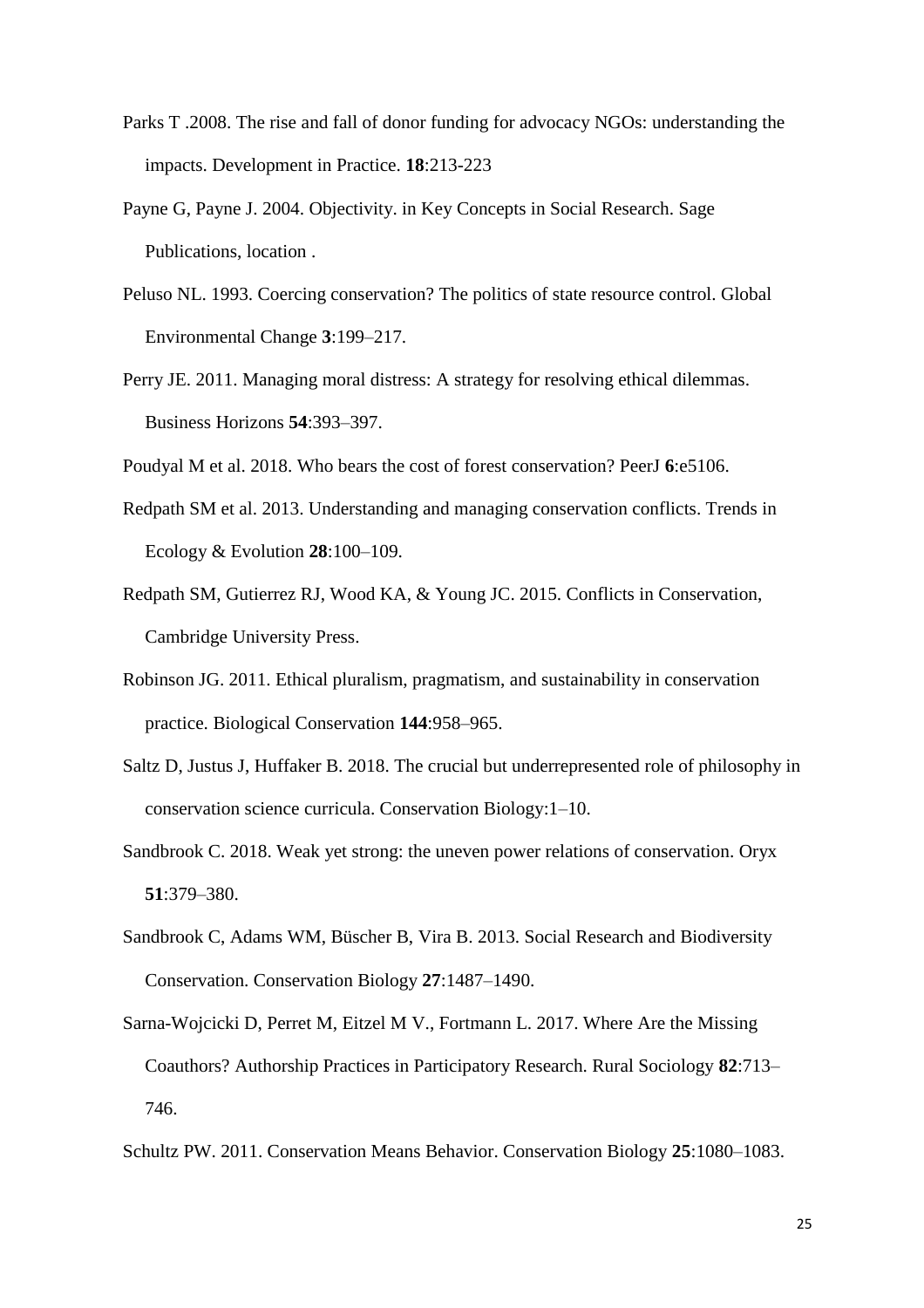- Parks T .2008. The rise and fall of donor funding for advocacy NGOs: understanding the impacts. Development in Practice. **18**:213-223
- Payne G, Payne J. 2004. Objectivity. in Key Concepts in Social Research. Sage Publications, location .
- Peluso NL. 1993. Coercing conservation? The politics of state resource control. Global Environmental Change **3**:199–217.
- Perry JE. 2011. Managing moral distress: A strategy for resolving ethical dilemmas. Business Horizons **54**:393–397.
- Poudyal M et al. 2018. Who bears the cost of forest conservation? PeerJ **6**:e5106.
- Redpath SM et al. 2013. Understanding and managing conservation conflicts. Trends in Ecology & Evolution **28**:100–109.
- Redpath SM, Gutierrez RJ, Wood KA, & Young JC. 2015. Conflicts in Conservation, Cambridge University Press.
- Robinson JG. 2011. Ethical pluralism, pragmatism, and sustainability in conservation practice. Biological Conservation **144**:958–965.
- Saltz D, Justus J, Huffaker B. 2018. The crucial but underrepresented role of philosophy in conservation science curricula. Conservation Biology:1–10.
- Sandbrook C. 2018. Weak yet strong: the uneven power relations of conservation. Oryx **51**:379–380.
- Sandbrook C, Adams WM, Büscher B, Vira B. 2013. Social Research and Biodiversity Conservation. Conservation Biology **27**:1487–1490.
- Sarna-Wojcicki D, Perret M, Eitzel M V., Fortmann L. 2017. Where Are the Missing Coauthors? Authorship Practices in Participatory Research. Rural Sociology **82**:713– 746.
- Schultz PW. 2011. Conservation Means Behavior. Conservation Biology **25**:1080–1083.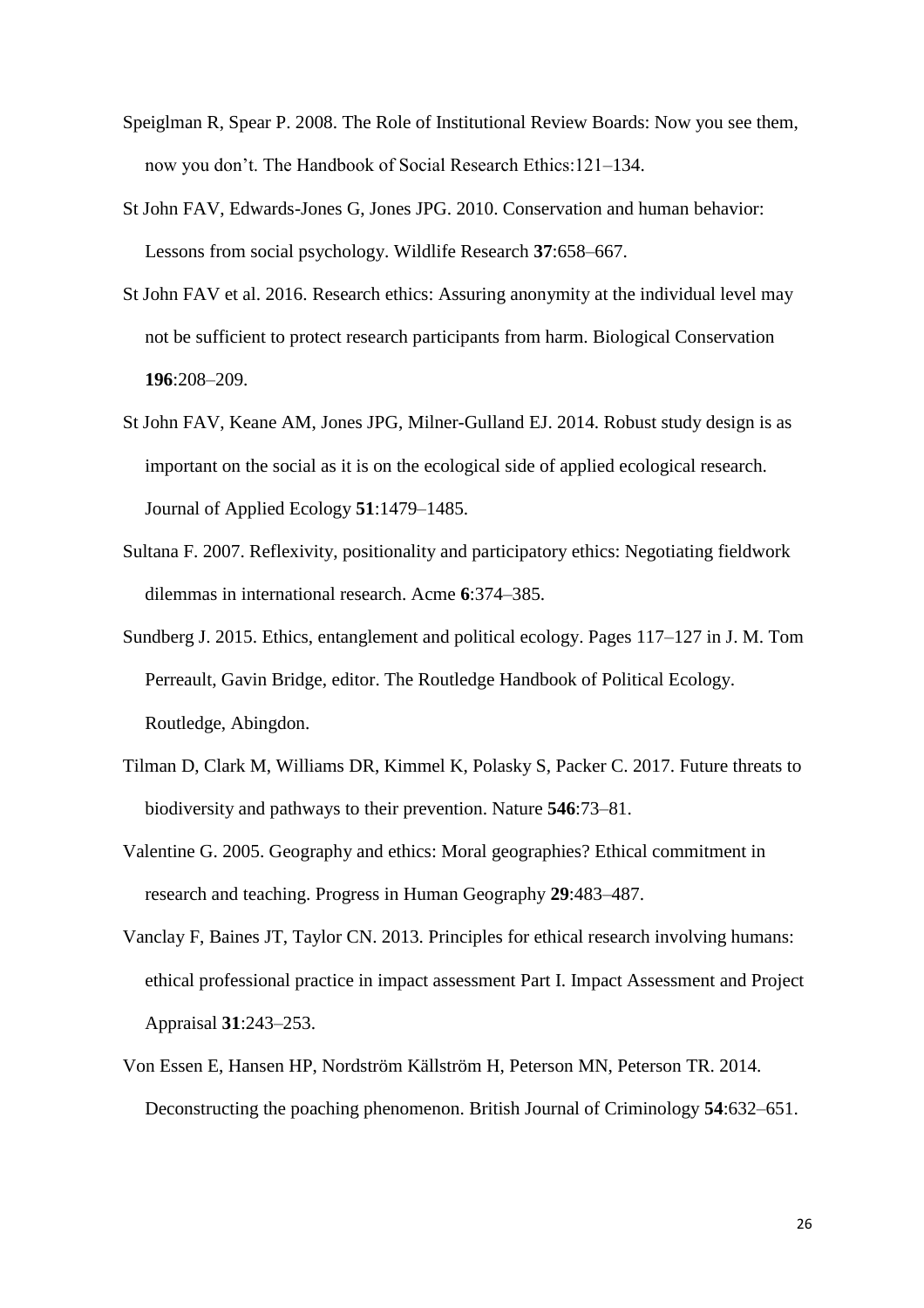- Speiglman R, Spear P. 2008. The Role of Institutional Review Boards: Now you see them, now you don't. The Handbook of Social Research Ethics:121–134.
- St John FAV, Edwards-Jones G, Jones JPG. 2010. Conservation and human behavior: Lessons from social psychology. Wildlife Research **37**:658–667.
- St John FAV et al. 2016. Research ethics: Assuring anonymity at the individual level may not be sufficient to protect research participants from harm. Biological Conservation **196**:208–209.
- St John FAV, Keane AM, Jones JPG, Milner-Gulland EJ. 2014. Robust study design is as important on the social as it is on the ecological side of applied ecological research. Journal of Applied Ecology **51**:1479–1485.
- Sultana F. 2007. Reflexivity, positionality and participatory ethics: Negotiating fieldwork dilemmas in international research. Acme **6**:374–385.
- Sundberg J. 2015. Ethics, entanglement and political ecology. Pages 117–127 in J. M. Tom Perreault, Gavin Bridge, editor. The Routledge Handbook of Political Ecology. Routledge, Abingdon.
- Tilman D, Clark M, Williams DR, Kimmel K, Polasky S, Packer C. 2017. Future threats to biodiversity and pathways to their prevention. Nature **546**:73–81.
- Valentine G. 2005. Geography and ethics: Moral geographies? Ethical commitment in research and teaching. Progress in Human Geography **29**:483–487.
- Vanclay F, Baines JT, Taylor CN. 2013. Principles for ethical research involving humans: ethical professional practice in impact assessment Part I. Impact Assessment and Project Appraisal **31**:243–253.
- Von Essen E, Hansen HP, Nordström Källström H, Peterson MN, Peterson TR. 2014. Deconstructing the poaching phenomenon. British Journal of Criminology **54**:632–651.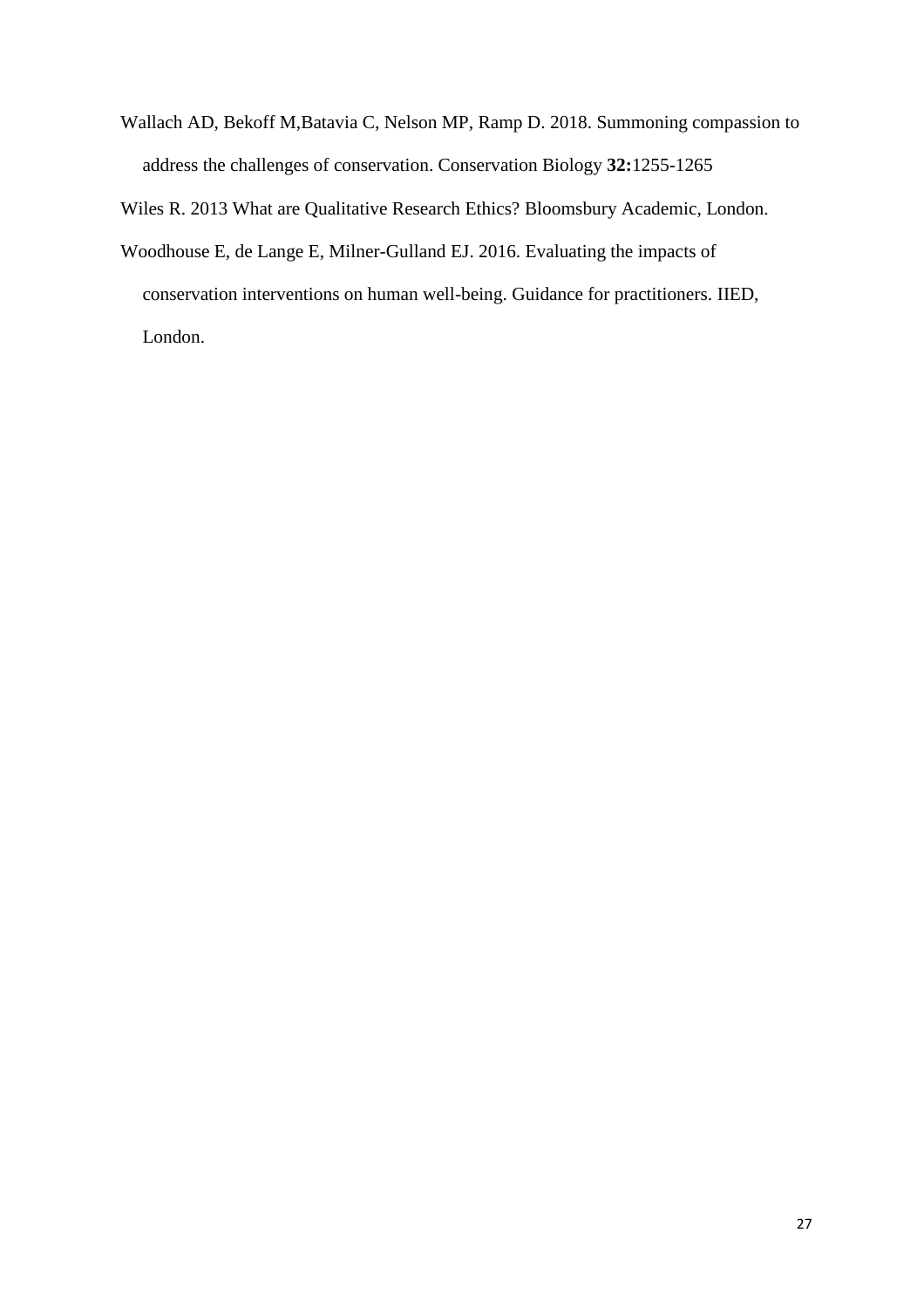Wallach AD, Bekoff M,Batavia C, Nelson MP, Ramp D. 2018. Summoning compassion to address the challenges of conservation. Conservation Biology **32:**1255-1265

Wiles R. 2013 What are Qualitative Research Ethics? Bloomsbury Academic, London.

Woodhouse E, de Lange E, Milner-Gulland EJ. 2016. Evaluating the impacts of conservation interventions on human well-being. Guidance for practitioners. IIED, London.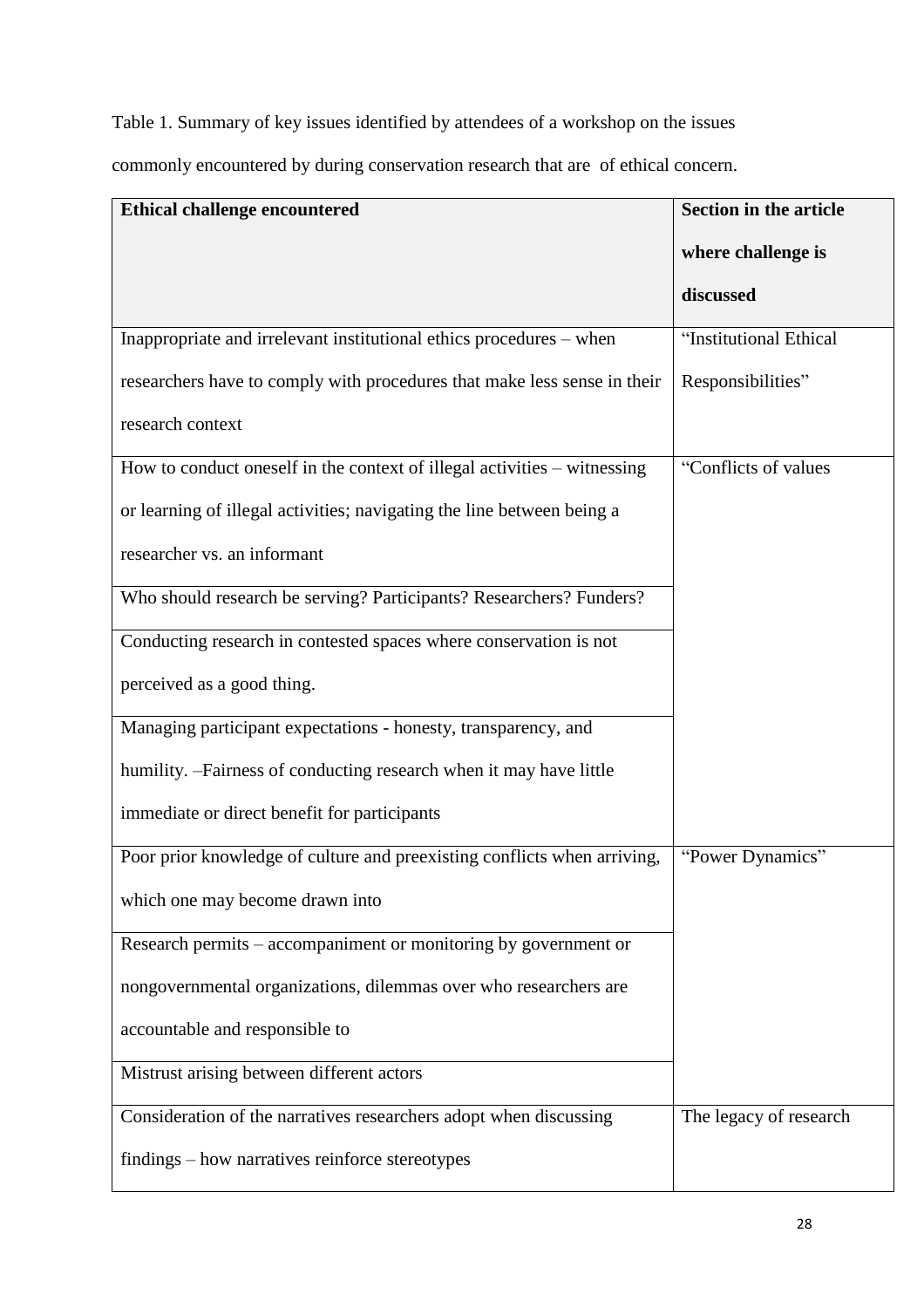Table 1. Summary of key issues identified by attendees of a workshop on the issues

commonly encountered by during conservation research that are of ethical concern.

| <b>Ethical challenge encountered</b>                                     | <b>Section in the article</b> |
|--------------------------------------------------------------------------|-------------------------------|
|                                                                          | where challenge is            |
|                                                                          | discussed                     |
| Inappropriate and irrelevant institutional ethics procedures – when      | "Institutional Ethical        |
| researchers have to comply with procedures that make less sense in their | Responsibilities"             |
| research context                                                         |                               |
| How to conduct oneself in the context of illegal activities - witnessing | "Conflicts of values"         |
| or learning of illegal activities; navigating the line between being a   |                               |
| researcher vs. an informant                                              |                               |
| Who should research be serving? Participants? Researchers? Funders?      |                               |
| Conducting research in contested spaces where conservation is not        |                               |
| perceived as a good thing.                                               |                               |
| Managing participant expectations - honesty, transparency, and           |                               |
| humility. -Fairness of conducting research when it may have little       |                               |
| immediate or direct benefit for participants                             |                               |
| Poor prior knowledge of culture and preexisting conflicts when arriving, | "Power Dynamics"              |
| which one may become drawn into                                          |                               |
| Research permits – accompaniment or monitoring by government or          |                               |
| nongovernmental organizations, dilemmas over who researchers are         |                               |
| accountable and responsible to                                           |                               |
| Mistrust arising between different actors                                |                               |
| Consideration of the narratives researchers adopt when discussing        | The legacy of research        |
| findings – how narratives reinforce stereotypes                          |                               |